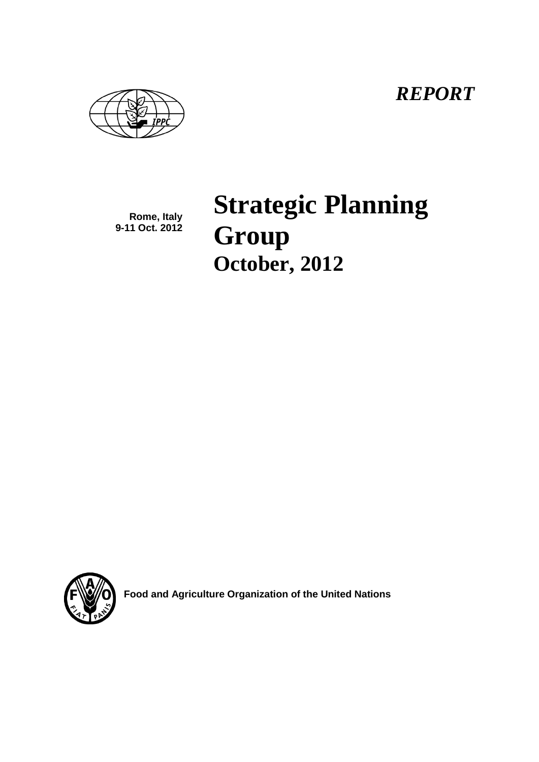*REPORT*

**Rome, Italy 9-11 Oct. 2012** **Strategic Planning Group October, 2012**



**Food and Agriculture Organization of the United Nations**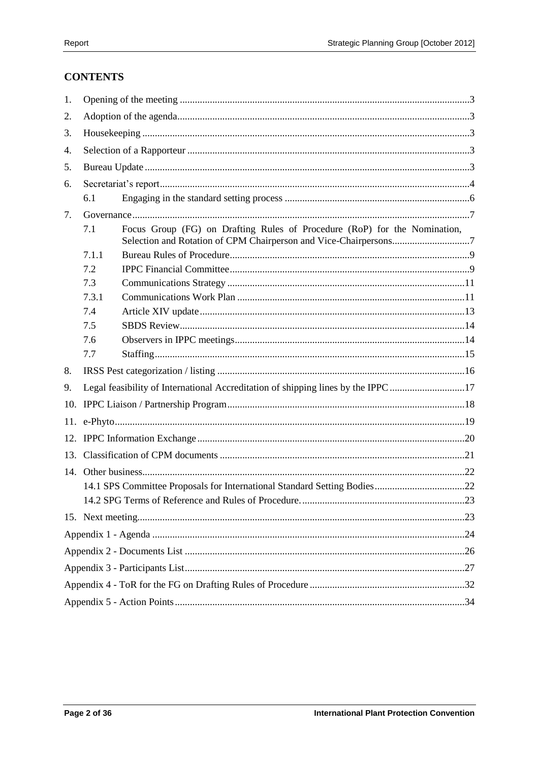# **CONTENTS**

| 1.  |       |                                                                                                                                               |  |
|-----|-------|-----------------------------------------------------------------------------------------------------------------------------------------------|--|
| 2.  |       |                                                                                                                                               |  |
| 3.  |       |                                                                                                                                               |  |
| 4.  |       |                                                                                                                                               |  |
| 5.  |       |                                                                                                                                               |  |
| 6.  |       |                                                                                                                                               |  |
|     | 6.1   |                                                                                                                                               |  |
| 7.  |       |                                                                                                                                               |  |
|     | 7.1   | Focus Group (FG) on Drafting Rules of Procedure (RoP) for the Nomination,<br>Selection and Rotation of CPM Chairperson and Vice-Chairpersons7 |  |
|     | 7.1.1 |                                                                                                                                               |  |
|     | 7.2   |                                                                                                                                               |  |
|     | 7.3   |                                                                                                                                               |  |
|     | 7.3.1 |                                                                                                                                               |  |
|     | 7.4   |                                                                                                                                               |  |
|     | 7.5   |                                                                                                                                               |  |
|     | 7.6   |                                                                                                                                               |  |
|     | 7.7   |                                                                                                                                               |  |
| 8.  |       |                                                                                                                                               |  |
| 9.  |       | Legal feasibility of International Accreditation of shipping lines by the IPPC17                                                              |  |
| 10. |       |                                                                                                                                               |  |
|     |       |                                                                                                                                               |  |
|     |       |                                                                                                                                               |  |
|     |       |                                                                                                                                               |  |
|     |       |                                                                                                                                               |  |
|     |       |                                                                                                                                               |  |
|     |       |                                                                                                                                               |  |
|     |       |                                                                                                                                               |  |
|     |       |                                                                                                                                               |  |
|     |       |                                                                                                                                               |  |
|     |       |                                                                                                                                               |  |
|     |       |                                                                                                                                               |  |
|     |       |                                                                                                                                               |  |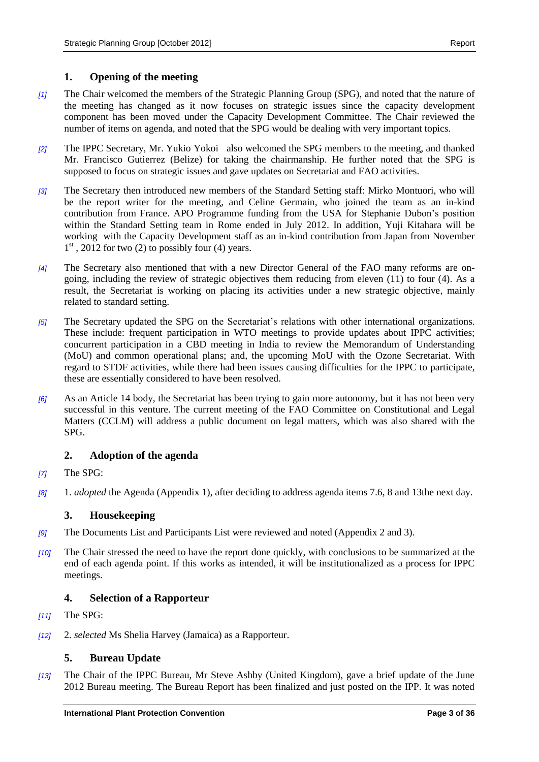#### <span id="page-2-0"></span>**1. Opening of the meeting**

- *[1]* The Chair welcomed the members of the Strategic Planning Group (SPG), and noted that the nature of the meeting has changed as it now focuses on strategic issues since the capacity development component has been moved under the Capacity Development Committee. The Chair reviewed the number of items on agenda, and noted that the SPG would be dealing with very important topics.
- *[2]* The IPPC Secretary, Mr. Yukio Yokoi also welcomed the SPG members to the meeting, and thanked Mr. Francisco Gutierrez (Belize) for taking the chairmanship. He further noted that the SPG is supposed to focus on strategic issues and gave updates on Secretariat and FAO activities.
- *[3]* The Secretary then introduced new members of the Standard Setting staff: Mirko Montuori, who will be the report writer for the meeting, and Celine Germain, who joined the team as an in-kind contribution from France. APO Programme funding from the USA for Stephanie Dubon's position within the Standard Setting team in Rome ended in July 2012. In addition, Yuji Kitahara will be working with the Capacity Development staff as an in-kind contribution from Japan from November 1<sup>st</sup>, 2012 for two (2) to possibly four (4) years.
- *[4]* The Secretary also mentioned that with a new Director General of the FAO many reforms are ongoing, including the review of strategic objectives them reducing from eleven (11) to four (4). As a result, the Secretariat is working on placing its activities under a new strategic objective, mainly related to standard setting.
- *[5]* The Secretary updated the SPG on the Secretariat's relations with other international organizations. These include: frequent participation in WTO meetings to provide updates about IPPC activities; concurrent participation in a CBD meeting in India to review the Memorandum of Understanding (MoU) and common operational plans; and, the upcoming MoU with the Ozone Secretariat. With regard to STDF activities, while there had been issues causing difficulties for the IPPC to participate, these are essentially considered to have been resolved.
- *[6]* As an Article 14 body, the Secretariat has been trying to gain more autonomy, but it has not been very successful in this venture. The current meeting of the FAO Committee on Constitutional and Legal Matters (CCLM) will address a public document on legal matters, which was also shared with the SPG.

#### <span id="page-2-1"></span>**2. Adoption of the agenda**

- *[7]* The SPG:
- *[8]* 1. *adopted* the Agenda (Appendix 1), after deciding to address agenda items 7.6, 8 and 13the next day.

#### <span id="page-2-2"></span>**3. Housekeeping**

- *[9]* The Documents List and Participants List were reviewed and noted (Appendix 2 and 3).
- *[10]* The Chair stressed the need to have the report done quickly, with conclusions to be summarized at the end of each agenda point. If this works as intended, it will be institutionalized as a process for IPPC meetings.

#### <span id="page-2-3"></span>**4. Selection of a Rapporteur**

- *[11]* The SPG:
- *[12]* 2. *selected* Ms Shelia Harvey (Jamaica) as a Rapporteur.

### <span id="page-2-4"></span>**5. Bureau Update**

*[13]* The Chair of the IPPC Bureau, Mr Steve Ashby (United Kingdom), gave a brief update of the June 2012 Bureau meeting. The Bureau Report has been finalized and just posted on the IPP. It was noted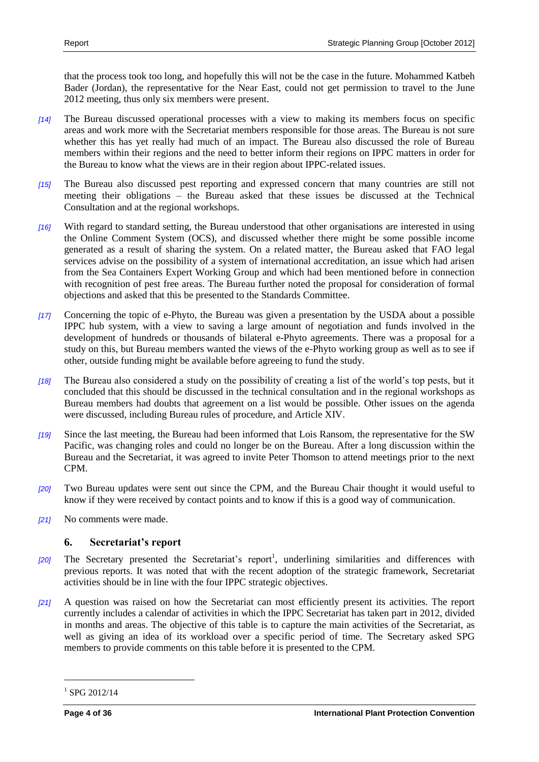that the process took too long, and hopefully this will not be the case in the future. Mohammed Katbeh Bader (Jordan), the representative for the Near East, could not get permission to travel to the June 2012 meeting, thus only six members were present.

- *[14]* The Bureau discussed operational processes with a view to making its members focus on specific areas and work more with the Secretariat members responsible for those areas. The Bureau is not sure whether this has yet really had much of an impact. The Bureau also discussed the role of Bureau members within their regions and the need to better inform their regions on IPPC matters in order for the Bureau to know what the views are in their region about IPPC-related issues.
- *[15]* The Bureau also discussed pest reporting and expressed concern that many countries are still not meeting their obligations – the Bureau asked that these issues be discussed at the Technical Consultation and at the regional workshops.
- *[16]* With regard to standard setting, the Bureau understood that other organisations are interested in using the Online Comment System (OCS), and discussed whether there might be some possible income generated as a result of sharing the system. On a related matter, the Bureau asked that FAO legal services advise on the possibility of a system of international accreditation, an issue which had arisen from the Sea Containers Expert Working Group and which had been mentioned before in connection with recognition of pest free areas. The Bureau further noted the proposal for consideration of formal objections and asked that this be presented to the Standards Committee.
- *[17]* Concerning the topic of e-Phyto, the Bureau was given a presentation by the USDA about a possible IPPC hub system, with a view to saving a large amount of negotiation and funds involved in the development of hundreds or thousands of bilateral e-Phyto agreements. There was a proposal for a study on this, but Bureau members wanted the views of the e-Phyto working group as well as to see if other, outside funding might be available before agreeing to fund the study.
- *[18]* The Bureau also considered a study on the possibility of creating a list of the world's top pests, but it concluded that this should be discussed in the technical consultation and in the regional workshops as Bureau members had doubts that agreement on a list would be possible. Other issues on the agenda were discussed, including Bureau rules of procedure, and Article XIV.
- *[19]* Since the last meeting, the Bureau had been informed that Lois Ransom, the representative for the SW Pacific, was changing roles and could no longer be on the Bureau. After a long discussion within the Bureau and the Secretariat, it was agreed to invite Peter Thomson to attend meetings prior to the next CPM.
- *[20]* Two Bureau updates were sent out since the CPM, and the Bureau Chair thought it would useful to know if they were received by contact points and to know if this is a good way of communication.
- *[21]* No comments were made.

#### <span id="page-3-0"></span>**6. Secretariat's report**

- [20] The Secretary presented the Secretariat's report<sup>1</sup>, underlining similarities and differences with previous reports. It was noted that with the recent adoption of the strategic framework, Secretariat activities should be in line with the four IPPC strategic objectives.
- *[21]* A question was raised on how the Secretariat can most efficiently present its activities. The report currently includes a calendar of activities in which the IPPC Secretariat has taken part in 2012, divided in months and areas. The objective of this table is to capture the main activities of the Secretariat, as well as giving an idea of its workload over a specific period of time. The Secretary asked SPG members to provide comments on this table before it is presented to the CPM.

 $1$  SPG 2012/14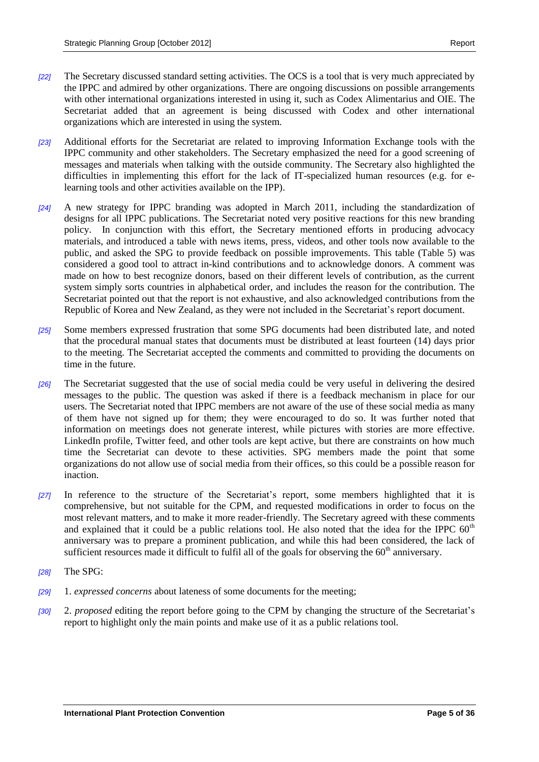- *[22]* The Secretary discussed standard setting activities. The OCS is a tool that is very much appreciated by the IPPC and admired by other organizations. There are ongoing discussions on possible arrangements with other international organizations interested in using it, such as Codex Alimentarius and OIE. The Secretariat added that an agreement is being discussed with Codex and other international organizations which are interested in using the system.
- *[23]* Additional efforts for the Secretariat are related to improving Information Exchange tools with the IPPC community and other stakeholders. The Secretary emphasized the need for a good screening of messages and materials when talking with the outside community. The Secretary also highlighted the difficulties in implementing this effort for the lack of IT-specialized human resources (e.g. for elearning tools and other activities available on the IPP).
- *[24]* A new strategy for IPPC branding was adopted in March 2011, including the standardization of designs for all IPPC publications. The Secretariat noted very positive reactions for this new branding policy. In conjunction with this effort, the Secretary mentioned efforts in producing advocacy materials, and introduced a table with news items, press, videos, and other tools now available to the public, and asked the SPG to provide feedback on possible improvements. This table (Table 5) was considered a good tool to attract in-kind contributions and to acknowledge donors. A comment was made on how to best recognize donors, based on their different levels of contribution, as the current system simply sorts countries in alphabetical order, and includes the reason for the contribution. The Secretariat pointed out that the report is not exhaustive, and also acknowledged contributions from the Republic of Korea and New Zealand, as they were not included in the Secretariat's report document.
- *[25]* Some members expressed frustration that some SPG documents had been distributed late, and noted that the procedural manual states that documents must be distributed at least fourteen (14) days prior to the meeting. The Secretariat accepted the comments and committed to providing the documents on time in the future.
- *[26]* The Secretariat suggested that the use of social media could be very useful in delivering the desired messages to the public. The question was asked if there is a feedback mechanism in place for our users. The Secretariat noted that IPPC members are not aware of the use of these social media as many of them have not signed up for them; they were encouraged to do so. It was further noted that information on meetings does not generate interest, while pictures with stories are more effective. LinkedIn profile, Twitter feed, and other tools are kept active, but there are constraints on how much time the Secretariat can devote to these activities. SPG members made the point that some organizations do not allow use of social media from their offices, so this could be a possible reason for inaction.
- *[27]* In reference to the structure of the Secretariat's report, some members highlighted that it is comprehensive, but not suitable for the CPM, and requested modifications in order to focus on the most relevant matters, and to make it more reader-friendly. The Secretary agreed with these comments and explained that it could be a public relations tool. He also noted that the idea for the IPPC  $60<sup>th</sup>$ anniversary was to prepare a prominent publication, and while this had been considered, the lack of sufficient resources made it difficult to fulfil all of the goals for observing the  $60<sup>th</sup>$  anniversary.
- *[28]* The SPG:
- *[29]* 1. *expressed concerns* about lateness of some documents for the meeting;
- *[30]* 2. *proposed* editing the report before going to the CPM by changing the structure of the Secretariat's report to highlight only the main points and make use of it as a public relations tool.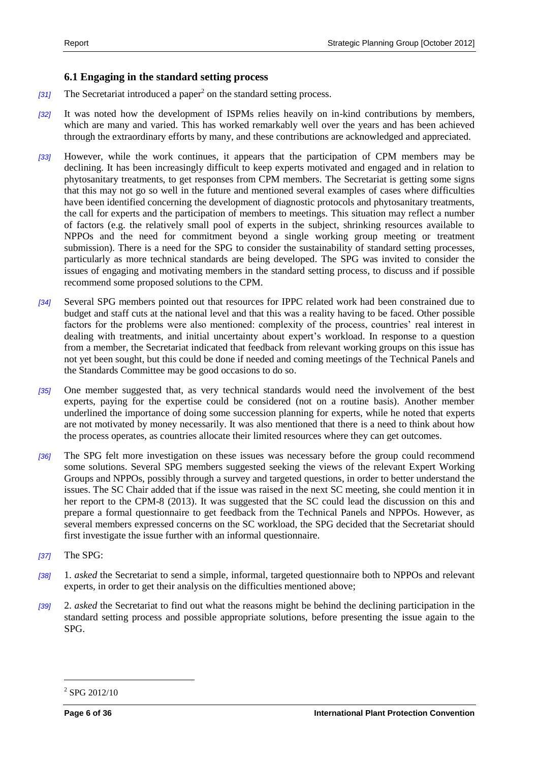#### <span id="page-5-0"></span>**6.1 Engaging in the standard setting process**

- [31] The Secretariat introduced a paper<sup>2</sup> on the standard setting process.
- *[32]* It was noted how the development of ISPMs relies heavily on in-kind contributions by members, which are many and varied. This has worked remarkably well over the years and has been achieved through the extraordinary efforts by many, and these contributions are acknowledged and appreciated.
- *[33]* However, while the work continues, it appears that the participation of CPM members may be declining. It has been increasingly difficult to keep experts motivated and engaged and in relation to phytosanitary treatments, to get responses from CPM members. The Secretariat is getting some signs that this may not go so well in the future and mentioned several examples of cases where difficulties have been identified concerning the development of diagnostic protocols and phytosanitary treatments, the call for experts and the participation of members to meetings. This situation may reflect a number of factors (e.g. the relatively small pool of experts in the subject, shrinking resources available to NPPOs and the need for commitment beyond a single working group meeting or treatment submission). There is a need for the SPG to consider the sustainability of standard setting processes, particularly as more technical standards are being developed. The SPG was invited to consider the issues of engaging and motivating members in the standard setting process, to discuss and if possible recommend some proposed solutions to the CPM.
- *[34]* Several SPG members pointed out that resources for IPPC related work had been constrained due to budget and staff cuts at the national level and that this was a reality having to be faced. Other possible factors for the problems were also mentioned: complexity of the process, countries' real interest in dealing with treatments, and initial uncertainty about expert's workload. In response to a question from a member, the Secretariat indicated that feedback from relevant working groups on this issue has not yet been sought, but this could be done if needed and coming meetings of the Technical Panels and the Standards Committee may be good occasions to do so.
- *[35]* One member suggested that, as very technical standards would need the involvement of the best experts, paying for the expertise could be considered (not on a routine basis). Another member underlined the importance of doing some succession planning for experts, while he noted that experts are not motivated by money necessarily. It was also mentioned that there is a need to think about how the process operates, as countries allocate their limited resources where they can get outcomes.
- *[36]* The SPG felt more investigation on these issues was necessary before the group could recommend some solutions. Several SPG members suggested seeking the views of the relevant Expert Working Groups and NPPOs, possibly through a survey and targeted questions, in order to better understand the issues. The SC Chair added that if the issue was raised in the next SC meeting, she could mention it in her report to the CPM-8 (2013). It was suggested that the SC could lead the discussion on this and prepare a formal questionnaire to get feedback from the Technical Panels and NPPOs. However, as several members expressed concerns on the SC workload, the SPG decided that the Secretariat should first investigate the issue further with an informal questionnaire.
- *[37]* The SPG:
- *[38]* 1. *asked* the Secretariat to send a simple, informal, targeted questionnaire both to NPPOs and relevant experts, in order to get their analysis on the difficulties mentioned above;
- *[39]* 2. *asked* the Secretariat to find out what the reasons might be behind the declining participation in the standard setting process and possible appropriate solutions, before presenting the issue again to the SPG.

<sup>2</sup> SPG 2012/10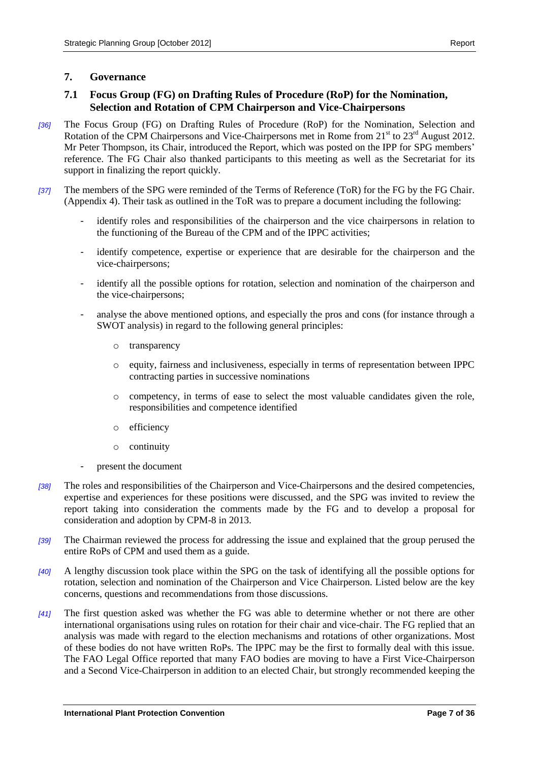### <span id="page-6-1"></span><span id="page-6-0"></span>**7.1 Focus Group (FG) on Drafting Rules of Procedure (RoP) for the Nomination, Selection and Rotation of CPM Chairperson and Vice-Chairpersons**

- *[36]* The Focus Group (FG) on Drafting Rules of Procedure (RoP) for the Nomination, Selection and Rotation of the CPM Chairpersons and Vice-Chairpersons met in Rome from 21<sup>st</sup> to 23<sup>rd</sup> August 2012. Mr Peter Thompson, its Chair, introduced the Report, which was posted on the IPP for SPG members' reference. The FG Chair also thanked participants to this meeting as well as the Secretariat for its support in finalizing the report quickly.
- *[37]* The members of the SPG were reminded of the Terms of Reference (ToR) for the FG by the FG Chair. (Appendix 4). Their task as outlined in the ToR was to prepare a document including the following:
	- identify roles and responsibilities of the chairperson and the vice chairpersons in relation to the functioning of the Bureau of the CPM and of the IPPC activities;
	- identify competence, expertise or experience that are desirable for the chairperson and the vice-chairpersons;
	- identify all the possible options for rotation, selection and nomination of the chairperson and the vice-chairpersons;
	- analyse the above mentioned options, and especially the pros and cons (for instance through a SWOT analysis) in regard to the following general principles:
		- o transparency
		- o equity, fairness and inclusiveness, especially in terms of representation between IPPC contracting parties in successive nominations
		- o competency, in terms of ease to select the most valuable candidates given the role, responsibilities and competence identified
		- o efficiency
		- o continuity
	- present the document
- *[38]* The roles and responsibilities of the Chairperson and Vice-Chairpersons and the desired competencies, expertise and experiences for these positions were discussed, and the SPG was invited to review the report taking into consideration the comments made by the FG and to develop a proposal for consideration and adoption by CPM-8 in 2013.
- *[39]* The Chairman reviewed the process for addressing the issue and explained that the group perused the entire RoPs of CPM and used them as a guide.
- *[40]* A lengthy discussion took place within the SPG on the task of identifying all the possible options for rotation, selection and nomination of the Chairperson and Vice Chairperson. Listed below are the key concerns, questions and recommendations from those discussions.
- *[41]* The first question asked was whether the FG was able to determine whether or not there are other international organisations using rules on rotation for their chair and vice-chair. The FG replied that an analysis was made with regard to the election mechanisms and rotations of other organizations. Most of these bodies do not have written RoPs. The IPPC may be the first to formally deal with this issue. The FAO Legal Office reported that many FAO bodies are moving to have a First Vice-Chairperson and a Second Vice-Chairperson in addition to an elected Chair, but strongly recommended keeping the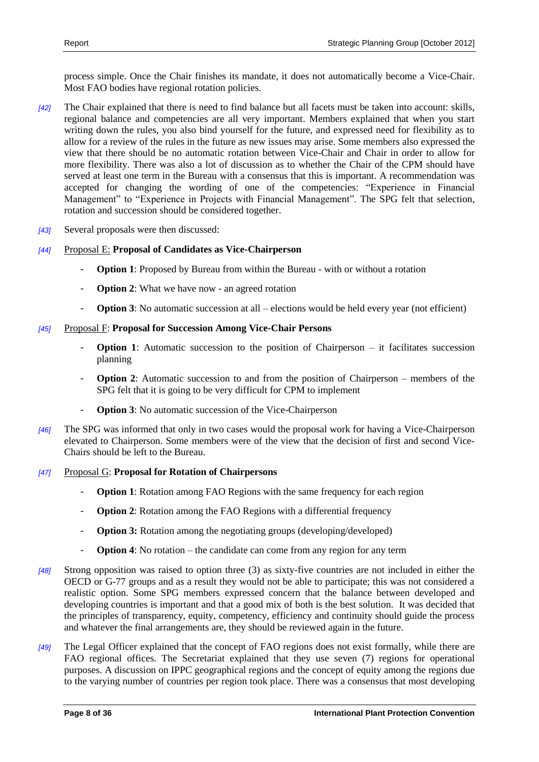process simple. Once the Chair finishes its mandate, it does not automatically become a Vice-Chair. Most FAO bodies have regional rotation policies.

- *[42]* The Chair explained that there is need to find balance but all facets must be taken into account: skills, regional balance and competencies are all very important. Members explained that when you start writing down the rules, you also bind yourself for the future, and expressed need for flexibility as to allow for a review of the rules in the future as new issues may arise. Some members also expressed the view that there should be no automatic rotation between Vice-Chair and Chair in order to allow for more flexibility. There was also a lot of discussion as to whether the Chair of the CPM should have served at least one term in the Bureau with a consensus that this is important. A recommendation was accepted for changing the wording of one of the competencies: "Experience in Financial Management" to "Experience in Projects with Financial Management". The SPG felt that selection, rotation and succession should be considered together.
- *[43]* Several proposals were then discussed:

#### *[44]* Proposal E: **Proposal of Candidates as Vice-Chairperson**

- **Option 1**: Proposed by Bureau from within the Bureau with or without a rotation
- **Option 2**: What we have now an agreed rotation
- **Option 3**: No automatic succession at all elections would be held every year (not efficient)

#### *[45]* Proposal F: **Proposal for Succession Among Vice-Chair Persons**

- **Option 1**: Automatic succession to the position of Chairperson it facilitates succession planning
- **Option 2**: Automatic succession to and from the position of Chairperson members of the SPG felt that it is going to be very difficult for CPM to implement
- **Option 3**: No automatic succession of the Vice-Chairperson
- *[46]* The SPG was informed that only in two cases would the proposal work for having a Vice-Chairperson elevated to Chairperson. Some members were of the view that the decision of first and second Vice-Chairs should be left to the Bureau.

#### *[47]* Proposal G: **Proposal for Rotation of Chairpersons**

- **Option 1**: Rotation among FAO Regions with the same frequency for each region
- **Option 2:** Rotation among the FAO Regions with a differential frequency
- **Option 3:** Rotation among the negotiating groups (developing/developed)
- **Option 4**: No rotation the candidate can come from any region for any term
- *[48]* Strong opposition was raised to option three (3) as sixty-five countries are not included in either the OECD or G-77 groups and as a result they would not be able to participate; this was not considered a realistic option. Some SPG members expressed concern that the balance between developed and developing countries is important and that a good mix of both is the best solution. It was decided that the principles of transparency, equity, competency, efficiency and continuity should guide the process and whatever the final arrangements are, they should be reviewed again in the future.
- *[49]* The Legal Officer explained that the concept of FAO regions does not exist formally, while there are FAO regional offices. The Secretariat explained that they use seven (7) regions for operational purposes. A discussion on IPPC geographical regions and the concept of equity among the regions due to the varying number of countries per region took place. There was a consensus that most developing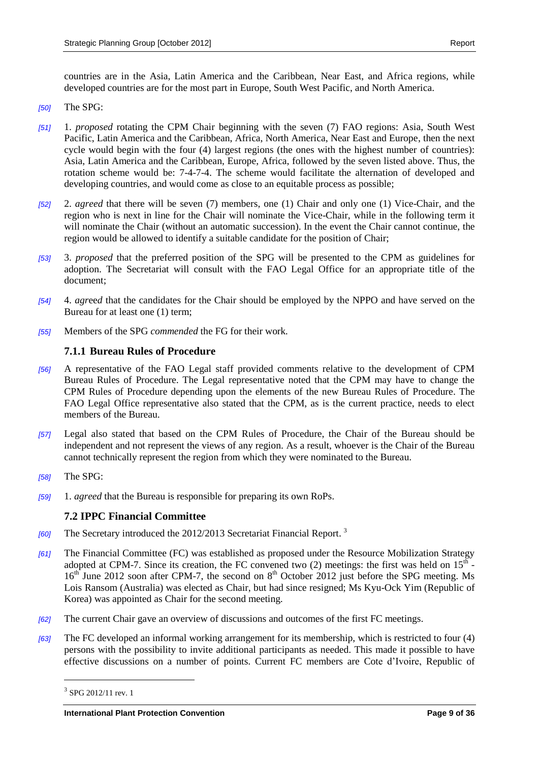countries are in the Asia, Latin America and the Caribbean, Near East, and Africa regions, while developed countries are for the most part in Europe, South West Pacific, and North America.

- *[50]* The SPG:
- *[51]* 1. *proposed* rotating the CPM Chair beginning with the seven (7) FAO regions: Asia, South West Pacific, Latin America and the Caribbean, Africa, North America, Near East and Europe, then the next cycle would begin with the four (4) largest regions (the ones with the highest number of countries): Asia, Latin America and the Caribbean, Europe, Africa, followed by the seven listed above. Thus, the rotation scheme would be: 7-4-7-4. The scheme would facilitate the alternation of developed and developing countries, and would come as close to an equitable process as possible;
- *[52]* 2. *agreed* that there will be seven (7) members, one (1) Chair and only one (1) Vice-Chair, and the region who is next in line for the Chair will nominate the Vice-Chair, while in the following term it will nominate the Chair (without an automatic succession). In the event the Chair cannot continue, the region would be allowed to identify a suitable candidate for the position of Chair;
- *[53]* 3. *proposed* that the preferred position of the SPG will be presented to the CPM as guidelines for adoption. The Secretariat will consult with the FAO Legal Office for an appropriate title of the document;
- *[54]* 4. *agr*ee*d* that the candidates for the Chair should be employed by the NPPO and have served on the Bureau for at least one (1) term;
- *[55]* Members of the SPG *commended* the FG for their work.

#### <span id="page-8-0"></span>**7.1.1 Bureau Rules of Procedure**

- *[56]* A representative of the FAO Legal staff provided comments relative to the development of CPM Bureau Rules of Procedure. The Legal representative noted that the CPM may have to change the CPM Rules of Procedure depending upon the elements of the new Bureau Rules of Procedure. The FAO Legal Office representative also stated that the CPM, as is the current practice, needs to elect members of the Bureau.
- *[57]* Legal also stated that based on the CPM Rules of Procedure, the Chair of the Bureau should be independent and not represent the views of any region. As a result, whoever is the Chair of the Bureau cannot technically represent the region from which they were nominated to the Bureau.
- *[58]* The SPG:
- *[59]* 1. *agreed* that the Bureau is responsible for preparing its own RoPs.

#### <span id="page-8-1"></span>**7.2 IPPC Financial Committee**

- *[60]* The Secretary introduced the 2012/2013 Secretariat Financial Report. 3
- *[61]* The Financial Committee (FC) was established as proposed under the Resource Mobilization Strategy adopted at CPM-7. Since its creation, the FC convened two (2) meetings: the first was held on  $15^{\text{th}}$ . 16<sup>th</sup> June 2012 soon after CPM-7, the second on 8<sup>th</sup> October 2012 just before the SPG meeting. Ms Lois Ransom (Australia) was elected as Chair, but had since resigned; Ms Kyu-Ock Yim (Republic of Korea) was appointed as Chair for the second meeting.
- *[62]* The current Chair gave an overview of discussions and outcomes of the first FC meetings.
- *[63]* The FC developed an informal working arrangement for its membership, which is restricted to four (4) persons with the possibility to invite additional participants as needed. This made it possible to have effective discussions on a number of points. Current FC members are Cote d'Ivoire, Republic of

<sup>&</sup>lt;sup>3</sup> SPG 2012/11 rev. 1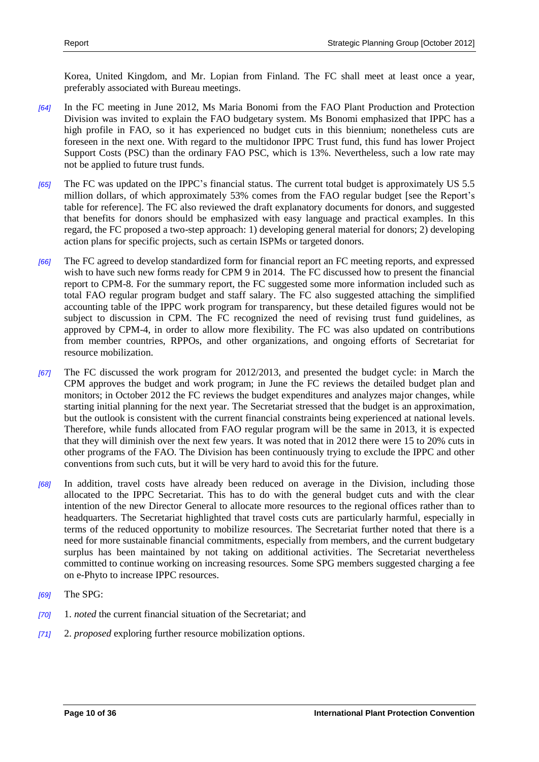Korea, United Kingdom, and Mr. Lopian from Finland. The FC shall meet at least once a year, preferably associated with Bureau meetings.

- *[64]* In the FC meeting in June 2012, Ms Maria Bonomi from the FAO Plant Production and Protection Division was invited to explain the FAO budgetary system. Ms Bonomi emphasized that IPPC has a high profile in FAO, so it has experienced no budget cuts in this biennium; nonetheless cuts are foreseen in the next one. With regard to the multidonor IPPC Trust fund, this fund has lower Project Support Costs (PSC) than the ordinary FAO PSC, which is 13%. Nevertheless, such a low rate may not be applied to future trust funds.
- *[65]* The FC was updated on the IPPC's financial status. The current total budget is approximately US 5.5 million dollars, of which approximately 53% comes from the FAO regular budget [see the Report's table for reference]. The FC also reviewed the draft explanatory documents for donors, and suggested that benefits for donors should be emphasized with easy language and practical examples. In this regard, the FC proposed a two-step approach: 1) developing general material for donors; 2) developing action plans for specific projects, such as certain ISPMs or targeted donors.
- *[66]* The FC agreed to develop standardized form for financial report an FC meeting reports, and expressed wish to have such new forms ready for CPM 9 in 2014. The FC discussed how to present the financial report to CPM-8. For the summary report, the FC suggested some more information included such as total FAO regular program budget and staff salary. The FC also suggested attaching the simplified accounting table of the IPPC work program for transparency, but these detailed figures would not be subject to discussion in CPM. The FC recognized the need of revising trust fund guidelines, as approved by CPM-4, in order to allow more flexibility. The FC was also updated on contributions from member countries, RPPOs, and other organizations, and ongoing efforts of Secretariat for resource mobilization.
- *[67]* The FC discussed the work program for 2012/2013, and presented the budget cycle: in March the CPM approves the budget and work program; in June the FC reviews the detailed budget plan and monitors; in October 2012 the FC reviews the budget expenditures and analyzes major changes, while starting initial planning for the next year. The Secretariat stressed that the budget is an approximation, but the outlook is consistent with the current financial constraints being experienced at national levels. Therefore, while funds allocated from FAO regular program will be the same in 2013, it is expected that they will diminish over the next few years. It was noted that in 2012 there were 15 to 20% cuts in other programs of the FAO. The Division has been continuously trying to exclude the IPPC and other conventions from such cuts, but it will be very hard to avoid this for the future.
- *[68]* In addition, travel costs have already been reduced on average in the Division, including those allocated to the IPPC Secretariat. This has to do with the general budget cuts and with the clear intention of the new Director General to allocate more resources to the regional offices rather than to headquarters. The Secretariat highlighted that travel costs cuts are particularly harmful, especially in terms of the reduced opportunity to mobilize resources. The Secretariat further noted that there is a need for more sustainable financial commitments, especially from members, and the current budgetary surplus has been maintained by not taking on additional activities. The Secretariat nevertheless committed to continue working on increasing resources. Some SPG members suggested charging a fee on e-Phyto to increase IPPC resources.
- *[69]* The SPG:
- *[70]* 1. *noted* the current financial situation of the Secretariat; and
- *[71]* 2. *proposed* exploring further resource mobilization options.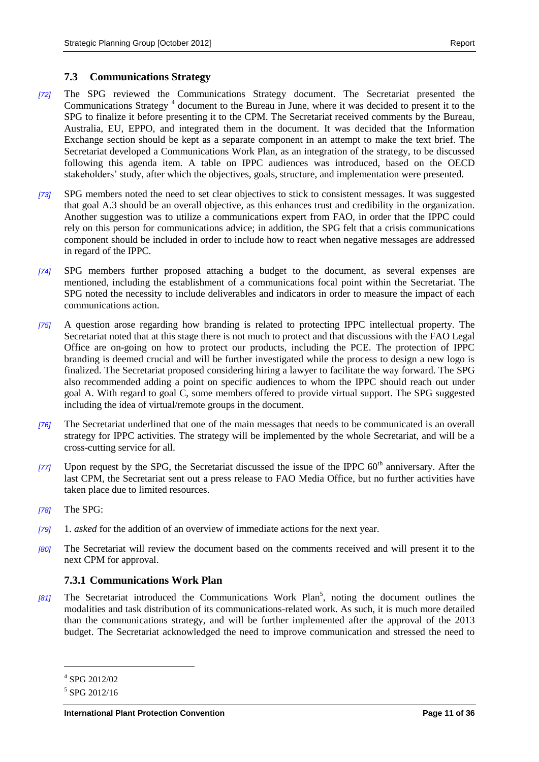#### <span id="page-10-0"></span>**7.3 Communications Strategy**

- *[72]* The SPG reviewed the Communications Strategy document. The Secretariat presented the Communications Strategy<sup>4</sup> document to the Bureau in June, where it was decided to present it to the SPG to finalize it before presenting it to the CPM. The Secretariat received comments by the Bureau, Australia, EU, EPPO, and integrated them in the document. It was decided that the Information Exchange section should be kept as a separate component in an attempt to make the text brief. The Secretariat developed a Communications Work Plan, as an integration of the strategy, to be discussed following this agenda item. A table on IPPC audiences was introduced, based on the OECD stakeholders' study, after which the objectives, goals, structure, and implementation were presented.
- *[73]* SPG members noted the need to set clear objectives to stick to consistent messages. It was suggested that goal A.3 should be an overall objective, as this enhances trust and credibility in the organization. Another suggestion was to utilize a communications expert from FAO, in order that the IPPC could rely on this person for communications advice; in addition, the SPG felt that a crisis communications component should be included in order to include how to react when negative messages are addressed in regard of the IPPC.
- *[74]* SPG members further proposed attaching a budget to the document, as several expenses are mentioned, including the establishment of a communications focal point within the Secretariat. The SPG noted the necessity to include deliverables and indicators in order to measure the impact of each communications action.
- *[75]* A question arose regarding how branding is related to protecting IPPC intellectual property. The Secretariat noted that at this stage there is not much to protect and that discussions with the FAO Legal Office are on-going on how to protect our products, including the PCE. The protection of IPPC branding is deemed crucial and will be further investigated while the process to design a new logo is finalized. The Secretariat proposed considering hiring a lawyer to facilitate the way forward. The SPG also recommended adding a point on specific audiences to whom the IPPC should reach out under goal A. With regard to goal C, some members offered to provide virtual support. The SPG suggested including the idea of virtual/remote groups in the document.
- *[76]* The Secretariat underlined that one of the main messages that needs to be communicated is an overall strategy for IPPC activities. The strategy will be implemented by the whole Secretariat, and will be a cross-cutting service for all.
- *[77]* Upon request by the SPG, the Secretariat discussed the issue of the IPPC 60<sup>th</sup> anniversary. After the last CPM, the Secretariat sent out a press release to FAO Media Office, but no further activities have taken place due to limited resources.
- *[78]* The SPG:
- *[79]* 1. *asked* for the addition of an overview of immediate actions for the next year.
- *[80]* The Secretariat will review the document based on the comments received and will present it to the next CPM for approval.

#### <span id="page-10-1"></span>**7.3.1 Communications Work Plan**

[81] The Secretariat introduced the Communications Work Plan<sup>5</sup>, noting the document outlines the modalities and task distribution of its communications-related work. As such, it is much more detailed than the communications strategy, and will be further implemented after the approval of the 2013 budget. The Secretariat acknowledged the need to improve communication and stressed the need to

l

<sup>4</sup> SPG 2012/02

<sup>5</sup> SPG 2012/16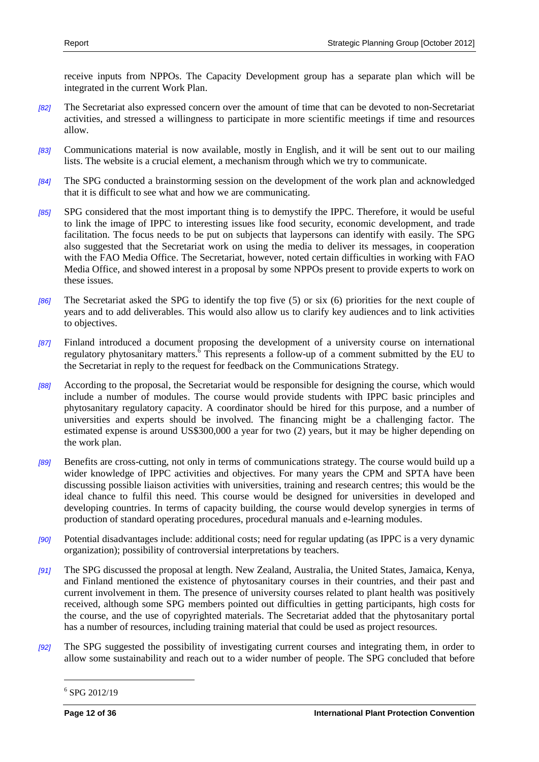receive inputs from NPPOs. The Capacity Development group has a separate plan which will be integrated in the current Work Plan.

- *[82]* The Secretariat also expressed concern over the amount of time that can be devoted to non-Secretariat activities, and stressed a willingness to participate in more scientific meetings if time and resources allow.
- *[83]* Communications material is now available, mostly in English, and it will be sent out to our mailing lists. The website is a crucial element, a mechanism through which we try to communicate.
- *[84]* The SPG conducted a brainstorming session on the development of the work plan and acknowledged that it is difficult to see what and how we are communicating.
- *[85]* SPG considered that the most important thing is to demystify the IPPC. Therefore, it would be useful to link the image of IPPC to interesting issues like food security, economic development, and trade facilitation. The focus needs to be put on subjects that laypersons can identify with easily. The SPG also suggested that the Secretariat work on using the media to deliver its messages, in cooperation with the FAO Media Office. The Secretariat, however, noted certain difficulties in working with FAO Media Office, and showed interest in a proposal by some NPPOs present to provide experts to work on these issues.
- *[86]* The Secretariat asked the SPG to identify the top five (5) or six (6) priorities for the next couple of years and to add deliverables. This would also allow us to clarify key audiences and to link activities to objectives.
- *[87]* Finland introduced a document proposing the development of a university course on international regulatory phytosanitary matters. $\overline{6}$  This represents a follow-up of a comment submitted by the EU to the Secretariat in reply to the request for feedback on the Communications Strategy.
- *[88]* According to the proposal, the Secretariat would be responsible for designing the course, which would include a number of modules. The course would provide students with IPPC basic principles and phytosanitary regulatory capacity. A coordinator should be hired for this purpose, and a number of universities and experts should be involved. The financing might be a challenging factor. The estimated expense is around US\$300,000 a year for two (2) years, but it may be higher depending on the work plan.
- *[89]* Benefits are cross-cutting, not only in terms of communications strategy. The course would build up a wider knowledge of IPPC activities and objectives. For many years the CPM and SPTA have been discussing possible liaison activities with universities, training and research centres; this would be the ideal chance to fulfil this need. This course would be designed for universities in developed and developing countries. In terms of capacity building, the course would develop synergies in terms of production of standard operating procedures, procedural manuals and e-learning modules.
- *[90]* Potential disadvantages include: additional costs; need for regular updating (as IPPC is a very dynamic organization); possibility of controversial interpretations by teachers.
- *[91]* The SPG discussed the proposal at length. New Zealand, Australia, the United States, Jamaica, Kenya, and Finland mentioned the existence of phytosanitary courses in their countries, and their past and current involvement in them. The presence of university courses related to plant health was positively received, although some SPG members pointed out difficulties in getting participants, high costs for the course, and the use of copyrighted materials. The Secretariat added that the phytosanitary portal has a number of resources, including training material that could be used as project resources.
- *[92]* The SPG suggested the possibility of investigating current courses and integrating them, in order to allow some sustainability and reach out to a wider number of people. The SPG concluded that before

<sup>6</sup> SPG 2012/19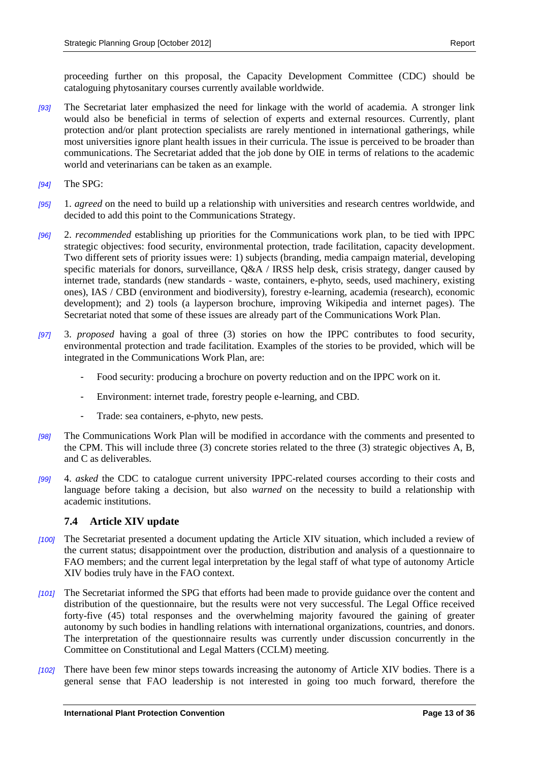proceeding further on this proposal, the Capacity Development Committee (CDC) should be cataloguing phytosanitary courses currently available worldwide.

- *[93]* The Secretariat later emphasized the need for linkage with the world of academia. A stronger link would also be beneficial in terms of selection of experts and external resources. Currently, plant protection and/or plant protection specialists are rarely mentioned in international gatherings, while most universities ignore plant health issues in their curricula. The issue is perceived to be broader than communications. The Secretariat added that the job done by OIE in terms of relations to the academic world and veterinarians can be taken as an example.
- *[94]* The SPG:
- *[95]* 1. *agreed* on the need to build up a relationship with universities and research centres worldwide, and decided to add this point to the Communications Strategy.
- *[96]* 2. *recommended* establishing up priorities for the Communications work plan, to be tied with IPPC strategic objectives: food security, environmental protection, trade facilitation, capacity development. Two different sets of priority issues were: 1) subjects (branding, media campaign material, developing specific materials for donors, surveillance,  $Q&A / IRSS$  help desk, crisis strategy, danger caused by internet trade, standards (new standards - waste, containers, e-phyto, seeds, used machinery, existing ones), IAS / CBD (environment and biodiversity), forestry e-learning, academia (research), economic development); and 2) tools (a layperson brochure, improving Wikipedia and internet pages). The Secretariat noted that some of these issues are already part of the Communications Work Plan.
- *[97]* 3. *proposed* having a goal of three (3) stories on how the IPPC contributes to food security, environmental protection and trade facilitation. Examples of the stories to be provided, which will be integrated in the Communications Work Plan, are:
	- Food security: producing a brochure on poverty reduction and on the IPPC work on it.
	- Environment: internet trade, forestry people e-learning, and CBD.
	- Trade: sea containers, e-phyto, new pests.
- *[98]* The Communications Work Plan will be modified in accordance with the comments and presented to the CPM. This will include three (3) concrete stories related to the three (3) strategic objectives A, B, and C as deliverables.
- *[99]* 4. *asked* the CDC to catalogue current university IPPC-related courses according to their costs and language before taking a decision, but also *warned* on the necessity to build a relationship with academic institutions.

#### <span id="page-12-0"></span>**7.4 Article XIV update**

- *[100]* The Secretariat presented a document updating the Article XIV situation, which included a review of the current status; disappointment over the production, distribution and analysis of a questionnaire to FAO members; and the current legal interpretation by the legal staff of what type of autonomy Article XIV bodies truly have in the FAO context.
- *[101]* The Secretariat informed the SPG that efforts had been made to provide guidance over the content and distribution of the questionnaire, but the results were not very successful. The Legal Office received forty-five (45) total responses and the overwhelming majority favoured the gaining of greater autonomy by such bodies in handling relations with international organizations, countries, and donors. The interpretation of the questionnaire results was currently under discussion concurrently in the Committee on Constitutional and Legal Matters (CCLM) meeting.
- *[102]* There have been few minor steps towards increasing the autonomy of Article XIV bodies. There is a general sense that FAO leadership is not interested in going too much forward, therefore the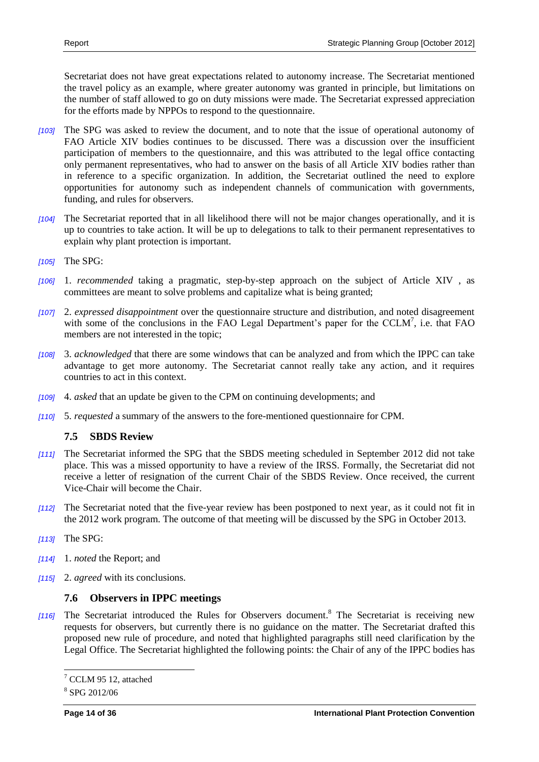Secretariat does not have great expectations related to autonomy increase. The Secretariat mentioned the travel policy as an example, where greater autonomy was granted in principle, but limitations on the number of staff allowed to go on duty missions were made. The Secretariat expressed appreciation for the efforts made by NPPOs to respond to the questionnaire.

- *[103]* The SPG was asked to review the document, and to note that the issue of operational autonomy of FAO Article XIV bodies continues to be discussed. There was a discussion over the insufficient participation of members to the questionnaire, and this was attributed to the legal office contacting only permanent representatives, who had to answer on the basis of all Article XIV bodies rather than in reference to a specific organization. In addition, the Secretariat outlined the need to explore opportunities for autonomy such as independent channels of communication with governments, funding, and rules for observers.
- *[104]* The Secretariat reported that in all likelihood there will not be major changes operationally, and it is up to countries to take action. It will be up to delegations to talk to their permanent representatives to explain why plant protection is important.
- *[105]* The SPG:
- *[106]* 1. *recommended* taking a pragmatic, step-by-step approach on the subject of Article XIV , as committees are meant to solve problems and capitalize what is being granted;
- *[107]* 2. *expressed disappointment* over the questionnaire structure and distribution, and noted disagreement with some of the conclusions in the FAO Legal Department's paper for the CCLM<sup>7</sup>, i.e. that FAO members are not interested in the topic;
- *[108]* 3. *acknowledged* that there are some windows that can be analyzed and from which the IPPC can take advantage to get more autonomy. The Secretariat cannot really take any action, and it requires countries to act in this context.
- *[109]* 4. *asked* that an update be given to the CPM on continuing developments; and
- *[110]* 5. *requested* a summary of the answers to the fore-mentioned questionnaire for CPM.

# <span id="page-13-0"></span>**7.5 SBDS Review**

- *[111]* The Secretariat informed the SPG that the SBDS meeting scheduled in September 2012 did not take place. This was a missed opportunity to have a review of the IRSS. Formally, the Secretariat did not receive a letter of resignation of the current Chair of the SBDS Review. Once received, the current Vice-Chair will become the Chair.
- *[112]* The Secretariat noted that the five-year review has been postponed to next year, as it could not fit in the 2012 work program. The outcome of that meeting will be discussed by the SPG in October 2013.
- *[113]* The SPG:
- *[114]* 1. *noted* the Report; and
- *[115]* 2. *agreed* with its conclusions.

### <span id="page-13-1"></span>**7.6 Observers in IPPC meetings**

*[116]* The Secretariat introduced the Rules for Observers document.<sup>8</sup> The Secretariat is receiving new requests for observers, but currently there is no guidance on the matter. The Secretariat drafted this proposed new rule of procedure, and noted that highlighted paragraphs still need clarification by the Legal Office. The Secretariat highlighted the following points: the Chair of any of the IPPC bodies has

l

 $7$  CCLM 95 12, attached

<sup>8</sup> SPG 2012/06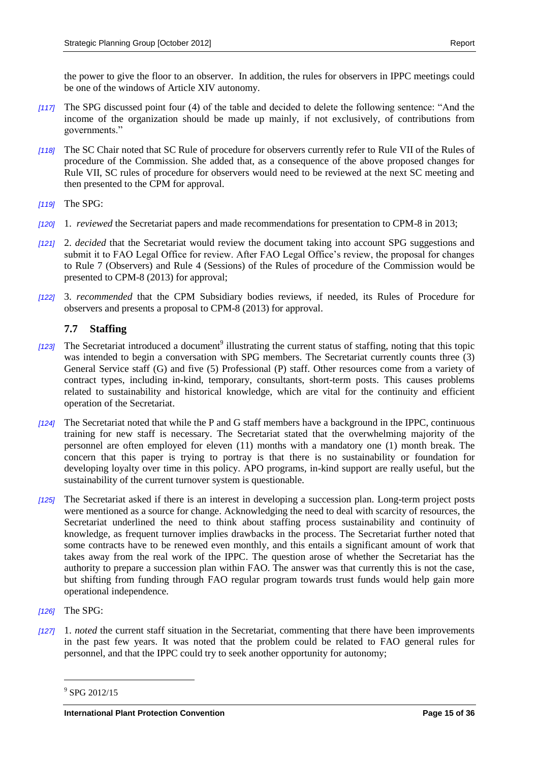the power to give the floor to an observer. In addition, the rules for observers in IPPC meetings could be one of the windows of Article XIV autonomy.

- *[117]* The SPG discussed point four (4) of the table and decided to delete the following sentence: "And the income of the organization should be made up mainly, if not exclusively, of contributions from governments."
- *[118]* The SC Chair noted that SC Rule of procedure for observers currently refer to Rule VII of the Rules of procedure of the Commission. She added that, as a consequence of the above proposed changes for Rule VII, SC rules of procedure for observers would need to be reviewed at the next SC meeting and then presented to the CPM for approval.
- *[119]* The SPG:
- *[120]* 1. *reviewed* the Secretariat papers and made recommendations for presentation to CPM-8 in 2013;
- *[121]* 2. *decided* that the Secretariat would review the document taking into account SPG suggestions and submit it to FAO Legal Office for review. After FAO Legal Office's review, the proposal for changes to Rule 7 (Observers) and Rule 4 (Sessions) of the Rules of procedure of the Commission would be presented to CPM-8 (2013) for approval;
- *[122]* 3. *recommended* that the CPM Subsidiary bodies reviews, if needed, its Rules of Procedure for observers and presents a proposal to CPM-8 (2013) for approval.

# <span id="page-14-0"></span>**7.7 Staffing**

- [123] The Secretariat introduced a document<sup>9</sup> illustrating the current status of staffing, noting that this topic was intended to begin a conversation with SPG members. The Secretariat currently counts three (3) General Service staff (G) and five (5) Professional (P) staff. Other resources come from a variety of contract types, including in-kind, temporary, consultants, short-term posts. This causes problems related to sustainability and historical knowledge, which are vital for the continuity and efficient operation of the Secretariat.
- *[124]* The Secretariat noted that while the P and G staff members have a background in the IPPC, continuous training for new staff is necessary. The Secretariat stated that the overwhelming majority of the personnel are often employed for eleven (11) months with a mandatory one (1) month break. The concern that this paper is trying to portray is that there is no sustainability or foundation for developing loyalty over time in this policy. APO programs, in-kind support are really useful, but the sustainability of the current turnover system is questionable.
- *[125]* The Secretariat asked if there is an interest in developing a succession plan. Long-term project posts were mentioned as a source for change. Acknowledging the need to deal with scarcity of resources, the Secretariat underlined the need to think about staffing process sustainability and continuity of knowledge, as frequent turnover implies drawbacks in the process. The Secretariat further noted that some contracts have to be renewed even monthly, and this entails a significant amount of work that takes away from the real work of the IPPC. The question arose of whether the Secretariat has the authority to prepare a succession plan within FAO. The answer was that currently this is not the case, but shifting from funding through FAO regular program towards trust funds would help gain more operational independence.
- *[126]* The SPG:

 $\overline{a}$ 

*[127]* 1. *noted* the current staff situation in the Secretariat, commenting that there have been improvements in the past few years. It was noted that the problem could be related to FAO general rules for personnel, and that the IPPC could try to seek another opportunity for autonomy;

<sup>9</sup> SPG 2012/15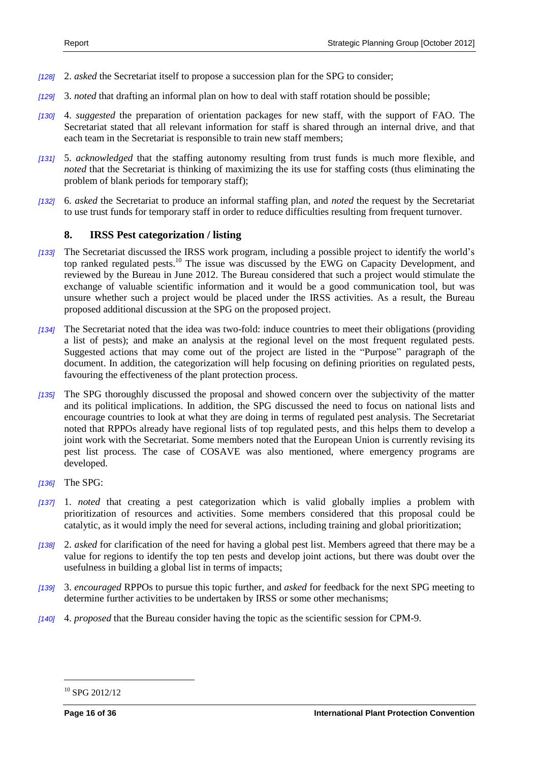- *[128]* 2. *asked* the Secretariat itself to propose a succession plan for the SPG to consider;
- *[129]* 3. *noted* that drafting an informal plan on how to deal with staff rotation should be possible;
- *[130]* 4. *suggested* the preparation of orientation packages for new staff, with the support of FAO. The Secretariat stated that all relevant information for staff is shared through an internal drive, and that each team in the Secretariat is responsible to train new staff members;
- *[131]* 5. *acknowledged* that the staffing autonomy resulting from trust funds is much more flexible, and *noted* that the Secretariat is thinking of maximizing the its use for staffing costs (thus eliminating the problem of blank periods for temporary staff);
- *[132]* 6. *asked* the Secretariat to produce an informal staffing plan, and *noted* the request by the Secretariat to use trust funds for temporary staff in order to reduce difficulties resulting from frequent turnover.

#### <span id="page-15-0"></span>**8. IRSS Pest categorization / listing**

- *[133]* The Secretariat discussed the IRSS work program, including a possible project to identify the world's top ranked regulated pests.<sup>10</sup> The issue was discussed by the EWG on Capacity Development, and reviewed by the Bureau in June 2012. The Bureau considered that such a project would stimulate the exchange of valuable scientific information and it would be a good communication tool, but was unsure whether such a project would be placed under the IRSS activities. As a result, the Bureau proposed additional discussion at the SPG on the proposed project.
- *[134]* The Secretariat noted that the idea was two-fold: induce countries to meet their obligations (providing a list of pests); and make an analysis at the regional level on the most frequent regulated pests. Suggested actions that may come out of the project are listed in the "Purpose" paragraph of the document. In addition, the categorization will help focusing on defining priorities on regulated pests, favouring the effectiveness of the plant protection process.
- *[135]* The SPG thoroughly discussed the proposal and showed concern over the subjectivity of the matter and its political implications. In addition, the SPG discussed the need to focus on national lists and encourage countries to look at what they are doing in terms of regulated pest analysis. The Secretariat noted that RPPOs already have regional lists of top regulated pests, and this helps them to develop a joint work with the Secretariat. Some members noted that the European Union is currently revising its pest list process. The case of COSAVE was also mentioned, where emergency programs are developed.
- *[136]* The SPG:
- *[137]* 1. *noted* that creating a pest categorization which is valid globally implies a problem with prioritization of resources and activities. Some members considered that this proposal could be catalytic, as it would imply the need for several actions, including training and global prioritization;
- *[138]* 2. *asked* for clarification of the need for having a global pest list. Members agreed that there may be a value for regions to identify the top ten pests and develop joint actions, but there was doubt over the usefulness in building a global list in terms of impacts;
- *[139]* 3. *encouraged* RPPOs to pursue this topic further, and *asked* for feedback for the next SPG meeting to determine further activities to be undertaken by IRSS or some other mechanisms;
- *[140]* 4. *proposed* that the Bureau consider having the topic as the scientific session for CPM-9.

<sup>10</sup> SPG 2012/12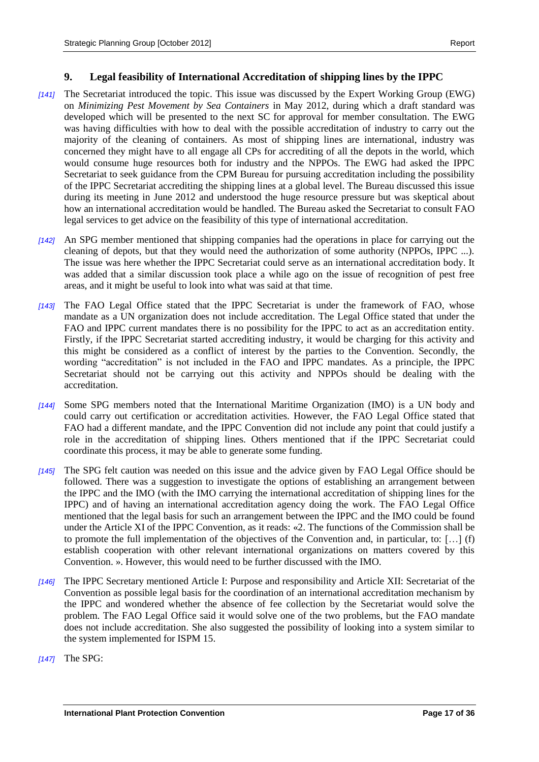#### <span id="page-16-0"></span>**9. Legal feasibility of International Accreditation of shipping lines by the IPPC**

- *[141]* The Secretariat introduced the topic. This issue was discussed by the Expert Working Group (EWG) on *Minimizing Pest Movement by Sea Containers* in May 2012, during which a draft standard was developed which will be presented to the next SC for approval for member consultation. The EWG was having difficulties with how to deal with the possible accreditation of industry to carry out the majority of the cleaning of containers. As most of shipping lines are international, industry was concerned they might have to all engage all CPs for accrediting of all the depots in the world, which would consume huge resources both for industry and the NPPOs. The EWG had asked the IPPC Secretariat to seek guidance from the CPM Bureau for pursuing accreditation including the possibility of the IPPC Secretariat accrediting the shipping lines at a global level. The Bureau discussed this issue during its meeting in June 2012 and understood the huge resource pressure but was skeptical about how an international accreditation would be handled. The Bureau asked the Secretariat to consult FAO legal services to get advice on the feasibility of this type of international accreditation.
- *[142]* An SPG member mentioned that shipping companies had the operations in place for carrying out the cleaning of depots, but that they would need the authorization of some authority (NPPOs, IPPC ...). The issue was here whether the IPPC Secretariat could serve as an international accreditation body. It was added that a similar discussion took place a while ago on the issue of recognition of pest free areas, and it might be useful to look into what was said at that time.
- *[143]* The FAO Legal Office stated that the IPPC Secretariat is under the framework of FAO, whose mandate as a UN organization does not include accreditation. The Legal Office stated that under the FAO and IPPC current mandates there is no possibility for the IPPC to act as an accreditation entity. Firstly, if the IPPC Secretariat started accrediting industry, it would be charging for this activity and this might be considered as a conflict of interest by the parties to the Convention. Secondly, the wording "accreditation" is not included in the FAO and IPPC mandates. As a principle, the IPPC Secretariat should not be carrying out this activity and NPPOs should be dealing with the accreditation.
- *[144]* Some SPG members noted that the International Maritime Organization (IMO) is a UN body and could carry out certification or accreditation activities. However, the FAO Legal Office stated that FAO had a different mandate, and the IPPC Convention did not include any point that could justify a role in the accreditation of shipping lines. Others mentioned that if the IPPC Secretariat could coordinate this process, it may be able to generate some funding.
- *[145]* The SPG felt caution was needed on this issue and the advice given by FAO Legal Office should be followed. There was a suggestion to investigate the options of establishing an arrangement between the IPPC and the IMO (with the IMO carrying the international accreditation of shipping lines for the IPPC) and of having an international accreditation agency doing the work. The FAO Legal Office mentioned that the legal basis for such an arrangement between the IPPC and the IMO could be found under the Article XI of the IPPC Convention, as it reads: «2. The functions of the Commission shall be to promote the full implementation of the objectives of the Convention and, in particular, to: […] (f) establish cooperation with other relevant international organizations on matters covered by this Convention. ». However, this would need to be further discussed with the IMO.
- *[146]* The IPPC Secretary mentioned Article I: Purpose and responsibility and Article XII: Secretariat of the Convention as possible legal basis for the coordination of an international accreditation mechanism by the IPPC and wondered whether the absence of fee collection by the Secretariat would solve the problem. The FAO Legal Office said it would solve one of the two problems, but the FAO mandate does not include accreditation. She also suggested the possibility of looking into a system similar to the system implemented for ISPM 15.
- *[147]* The SPG: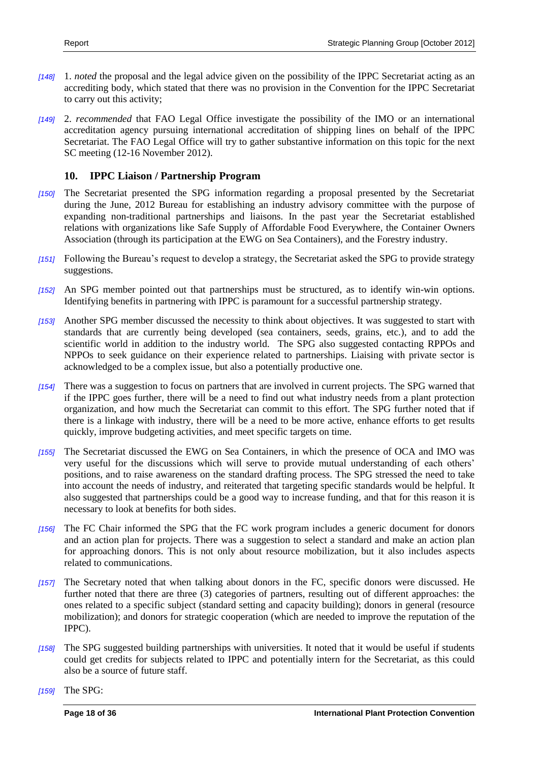- *[148]* 1. *noted* the proposal and the legal advice given on the possibility of the IPPC Secretariat acting as an accrediting body, which stated that there was no provision in the Convention for the IPPC Secretariat to carry out this activity;
- *[149]* 2. *recommended* that FAO Legal Office investigate the possibility of the IMO or an international accreditation agency pursuing international accreditation of shipping lines on behalf of the IPPC Secretariat. The FAO Legal Office will try to gather substantive information on this topic for the next SC meeting (12-16 November 2012).

#### <span id="page-17-0"></span>**10. IPPC Liaison / Partnership Program**

- *[150]* The Secretariat presented the SPG information regarding a proposal presented by the Secretariat during the June, 2012 Bureau for establishing an industry advisory committee with the purpose of expanding non-traditional partnerships and liaisons. In the past year the Secretariat established relations with organizations like Safe Supply of Affordable Food Everywhere, the Container Owners Association (through its participation at the EWG on Sea Containers), and the Forestry industry.
- *[151]* Following the Bureau's request to develop a strategy, the Secretariat asked the SPG to provide strategy suggestions.
- *[152]* An SPG member pointed out that partnerships must be structured, as to identify win-win options. Identifying benefits in partnering with IPPC is paramount for a successful partnership strategy.
- *[153]* Another SPG member discussed the necessity to think about objectives. It was suggested to start with standards that are currently being developed (sea containers, seeds, grains, etc.), and to add the scientific world in addition to the industry world. The SPG also suggested contacting RPPOs and NPPOs to seek guidance on their experience related to partnerships. Liaising with private sector is acknowledged to be a complex issue, but also a potentially productive one.
- *[154]* There was a suggestion to focus on partners that are involved in current projects. The SPG warned that if the IPPC goes further, there will be a need to find out what industry needs from a plant protection organization, and how much the Secretariat can commit to this effort. The SPG further noted that if there is a linkage with industry, there will be a need to be more active, enhance efforts to get results quickly, improve budgeting activities, and meet specific targets on time.
- *[155]* The Secretariat discussed the EWG on Sea Containers, in which the presence of OCA and IMO was very useful for the discussions which will serve to provide mutual understanding of each others' positions, and to raise awareness on the standard drafting process. The SPG stressed the need to take into account the needs of industry, and reiterated that targeting specific standards would be helpful. It also suggested that partnerships could be a good way to increase funding, and that for this reason it is necessary to look at benefits for both sides.
- *[156]* The FC Chair informed the SPG that the FC work program includes a generic document for donors and an action plan for projects. There was a suggestion to select a standard and make an action plan for approaching donors. This is not only about resource mobilization, but it also includes aspects related to communications.
- *[157]* The Secretary noted that when talking about donors in the FC, specific donors were discussed. He further noted that there are three (3) categories of partners, resulting out of different approaches: the ones related to a specific subject (standard setting and capacity building); donors in general (resource mobilization); and donors for strategic cooperation (which are needed to improve the reputation of the IPPC).
- *[158]* The SPG suggested building partnerships with universities. It noted that it would be useful if students could get credits for subjects related to IPPC and potentially intern for the Secretariat, as this could also be a source of future staff.

*[159]* The SPG: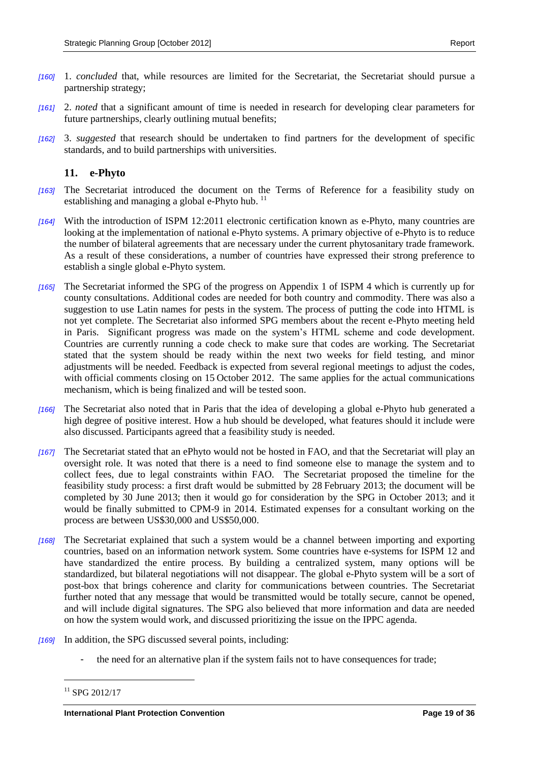- *[160]* 1. *concluded* that, while resources are limited for the Secretariat, the Secretariat should pursue a partnership strategy;
- *[161]* 2. *noted* that a significant amount of time is needed in research for developing clear parameters for future partnerships, clearly outlining mutual benefits;
- *[162]* 3. *suggested* that research should be undertaken to find partners for the development of specific standards, and to build partnerships with universities.

#### <span id="page-18-0"></span>**11. e-Phyto**

- *[163]* The Secretariat introduced the document on the Terms of Reference for a feasibility study on establishing and managing a global e-Phyto hub. <sup>11</sup>
- *[164]* With the introduction of ISPM 12:2011 electronic certification known as e-Phyto, many countries are looking at the implementation of national e-Phyto systems. A primary objective of e-Phyto is to reduce the number of bilateral agreements that are necessary under the current phytosanitary trade framework. As a result of these considerations, a number of countries have expressed their strong preference to establish a single global e-Phyto system.
- *[165]* The Secretariat informed the SPG of the progress on Appendix 1 of ISPM 4 which is currently up for county consultations. Additional codes are needed for both country and commodity. There was also a suggestion to use Latin names for pests in the system. The process of putting the code into HTML is not yet complete. The Secretariat also informed SPG members about the recent e-Phyto meeting held in Paris. Significant progress was made on the system's HTML scheme and code development. Countries are currently running a code check to make sure that codes are working. The Secretariat stated that the system should be ready within the next two weeks for field testing, and minor adjustments will be needed. Feedback is expected from several regional meetings to adjust the codes, with official comments closing on 15 October 2012. The same applies for the actual communications mechanism, which is being finalized and will be tested soon.
- *[166]* The Secretariat also noted that in Paris that the idea of developing a global e-Phyto hub generated a high degree of positive interest. How a hub should be developed, what features should it include were also discussed. Participants agreed that a feasibility study is needed.
- *[167]* The Secretariat stated that an ePhyto would not be hosted in FAO, and that the Secretariat will play an oversight role. It was noted that there is a need to find someone else to manage the system and to collect fees, due to legal constraints within FAO. The Secretariat proposed the timeline for the feasibility study process: a first draft would be submitted by 28 February 2013; the document will be completed by 30 June 2013; then it would go for consideration by the SPG in October 2013; and it would be finally submitted to CPM-9 in 2014. Estimated expenses for a consultant working on the process are between US\$30,000 and US\$50,000.
- *[168]* The Secretariat explained that such a system would be a channel between importing and exporting countries, based on an information network system. Some countries have e-systems for ISPM 12 and have standardized the entire process. By building a centralized system, many options will be standardized, but bilateral negotiations will not disappear. The global e-Phyto system will be a sort of post-box that brings coherence and clarity for communications between countries. The Secretariat further noted that any message that would be transmitted would be totally secure, cannot be opened, and will include digital signatures. The SPG also believed that more information and data are needed on how the system would work, and discussed prioritizing the issue on the IPPC agenda.
- *[169]* In addition, the SPG discussed several points, including:
	- the need for an alternative plan if the system fails not to have consequences for trade;

<sup>&</sup>lt;sup>11</sup> SPG 2012/17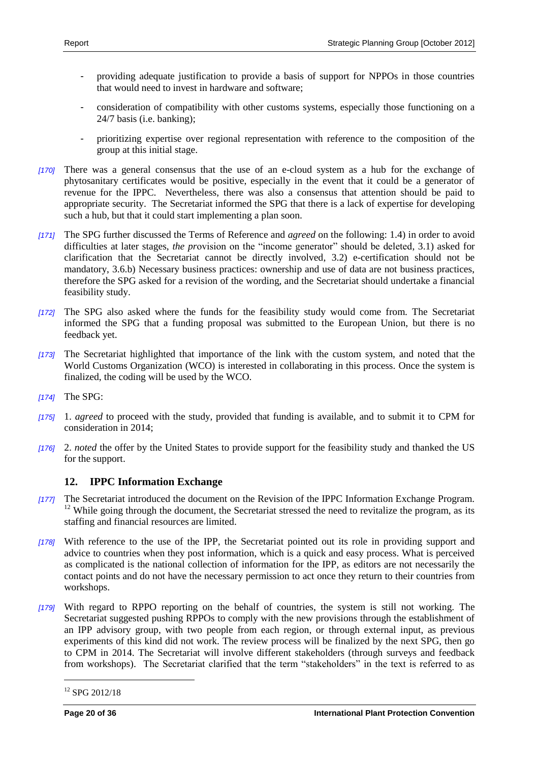- providing adequate justification to provide a basis of support for NPPOs in those countries that would need to invest in hardware and software;
- consideration of compatibility with other customs systems, especially those functioning on a 24/7 basis (i.e. banking);
- prioritizing expertise over regional representation with reference to the composition of the group at this initial stage.
- *[170]* There was a general consensus that the use of an e-cloud system as a hub for the exchange of phytosanitary certificates would be positive, especially in the event that it could be a generator of revenue for the IPPC. Nevertheless, there was also a consensus that attention should be paid to appropriate security. The Secretariat informed the SPG that there is a lack of expertise for developing such a hub, but that it could start implementing a plan soon.
- *[171]* The SPG further discussed the Terms of Reference and *agreed* on the following: 1.4) in order to avoid difficulties at later stages, *the pr*ovision on the "income generator" should be deleted, 3.1) asked for clarification that the Secretariat cannot be directly involved, 3.2) e-certification should not be mandatory, 3.6.b) Necessary business practices: ownership and use of data are not business practices, therefore the SPG asked for a revision of the wording, and the Secretariat should undertake a financial feasibility study.
- *[172]* The SPG also asked where the funds for the feasibility study would come from. The Secretariat informed the SPG that a funding proposal was submitted to the European Union, but there is no feedback yet.
- *[173]* The Secretariat highlighted that importance of the link with the custom system, and noted that the World Customs Organization (WCO) is interested in collaborating in this process. Once the system is finalized, the coding will be used by the WCO.
- *[174]* The SPG:
- *[175]* 1. *agreed* to proceed with the study, provided that funding is available, and to submit it to CPM for consideration in 2014;
- *[176]* 2. *noted* the offer by the United States to provide support for the feasibility study and thanked the US for the support.

### <span id="page-19-0"></span>**12. IPPC Information Exchange**

- *[177]* The Secretariat introduced the document on the Revision of the IPPC Information Exchange Program.  $12$  While going through the document, the Secretariat stressed the need to revitalize the program, as its staffing and financial resources are limited.
- *[178]* With reference to the use of the IPP, the Secretariat pointed out its role in providing support and advice to countries when they post information, which is a quick and easy process. What is perceived as complicated is the national collection of information for the IPP, as editors are not necessarily the contact points and do not have the necessary permission to act once they return to their countries from workshops.
- *[179]* With regard to RPPO reporting on the behalf of countries, the system is still not working. The Secretariat suggested pushing RPPOs to comply with the new provisions through the establishment of an IPP advisory group, with two people from each region, or through external input, as previous experiments of this kind did not work. The review process will be finalized by the next SPG, then go to CPM in 2014. The Secretariat will involve different stakeholders (through surveys and feedback from workshops). The Secretariat clarified that the term "stakeholders" in the text is referred to as

 $\overline{a}$ <sup>12</sup> SPG 2012/18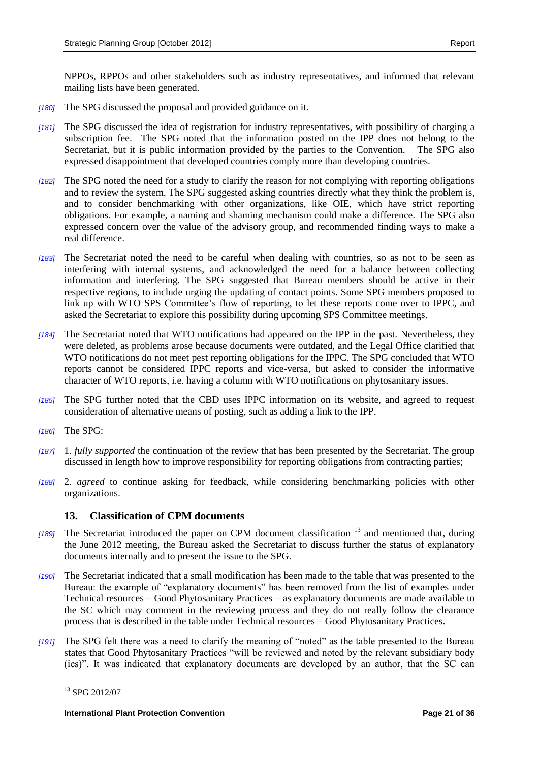- *[180]* The SPG discussed the proposal and provided guidance on it.
- *[181]* The SPG discussed the idea of registration for industry representatives, with possibility of charging a subscription fee. The SPG noted that the information posted on the IPP does not belong to the Secretariat, but it is public information provided by the parties to the Convention. The SPG also expressed disappointment that developed countries comply more than developing countries.
- *[182]* The SPG noted the need for a study to clarify the reason for not complying with reporting obligations and to review the system. The SPG suggested asking countries directly what they think the problem is, and to consider benchmarking with other organizations, like OIE, which have strict reporting obligations. For example, a naming and shaming mechanism could make a difference. The SPG also expressed concern over the value of the advisory group, and recommended finding ways to make a real difference.
- *[183]* The Secretariat noted the need to be careful when dealing with countries, so as not to be seen as interfering with internal systems, and acknowledged the need for a balance between collecting information and interfering. The SPG suggested that Bureau members should be active in their respective regions, to include urging the updating of contact points. Some SPG members proposed to link up with WTO SPS Committee's flow of reporting, to let these reports come over to IPPC, and asked the Secretariat to explore this possibility during upcoming SPS Committee meetings.
- *[184]* The Secretariat noted that WTO notifications had appeared on the IPP in the past. Nevertheless, they were deleted, as problems arose because documents were outdated, and the Legal Office clarified that WTO notifications do not meet pest reporting obligations for the IPPC. The SPG concluded that WTO reports cannot be considered IPPC reports and vice-versa, but asked to consider the informative character of WTO reports, i.e. having a column with WTO notifications on phytosanitary issues.
- *[185]* The SPG further noted that the CBD uses IPPC information on its website, and agreed to request consideration of alternative means of posting, such as adding a link to the IPP.
- *[186]* The SPG:
- *[187]* 1. *fully supported* the continuation of the review that has been presented by the Secretariat. The group discussed in length how to improve responsibility for reporting obligations from contracting parties;
- *[188]* 2. *agreed* to continue asking for feedback, while considering benchmarking policies with other organizations.

#### <span id="page-20-0"></span>**13. Classification of CPM documents**

- *[189]* The Secretariat introduced the paper on CPM document classification <sup>13</sup> and mentioned that, during the June 2012 meeting, the Bureau asked the Secretariat to discuss further the status of explanatory documents internally and to present the issue to the SPG.
- *[190]* The Secretariat indicated that a small modification has been made to the table that was presented to the Bureau: the example of "explanatory documents" has been removed from the list of examples under Technical resources – Good Phytosanitary Practices – as explanatory documents are made available to the SC which may comment in the reviewing process and they do not really follow the clearance process that is described in the table under Technical resources – Good Phytosanitary Practices.
- *[191]* The SPG felt there was a need to clarify the meaning of "noted" as the table presented to the Bureau states that Good Phytosanitary Practices "will be reviewed and noted by the relevant subsidiary body (ies)". It was indicated that explanatory documents are developed by an author, that the SC can

<sup>13</sup> SPG 2012/07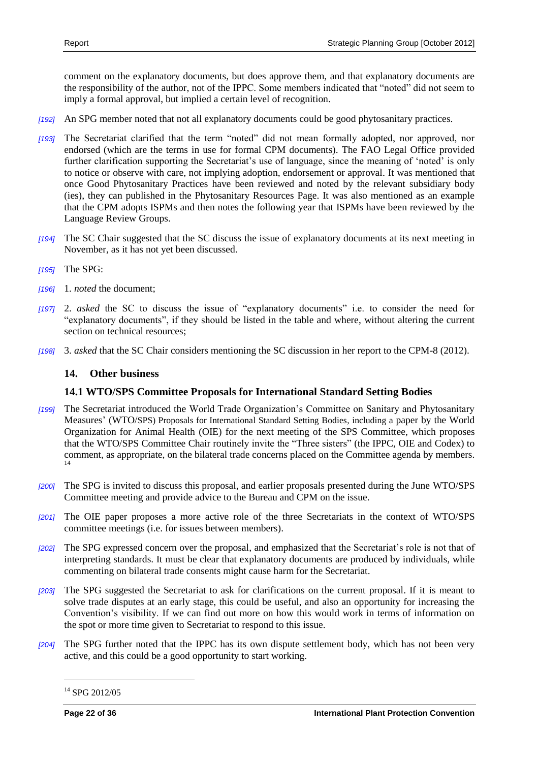comment on the explanatory documents, but does approve them, and that explanatory documents are the responsibility of the author, not of the IPPC. Some members indicated that "noted" did not seem to imply a formal approval, but implied a certain level of recognition.

- *[192]* An SPG member noted that not all explanatory documents could be good phytosanitary practices.
- *[193]* The Secretariat clarified that the term "noted" did not mean formally adopted, nor approved, nor endorsed (which are the terms in use for formal CPM documents). The FAO Legal Office provided further clarification supporting the Secretariat's use of language, since the meaning of 'noted' is only to notice or observe with care, not implying adoption, endorsement or approval. It was mentioned that once Good Phytosanitary Practices have been reviewed and noted by the relevant subsidiary body (ies), they can published in the Phytosanitary Resources Page. It was also mentioned as an example that the CPM adopts ISPMs and then notes the following year that ISPMs have been reviewed by the Language Review Groups.
- *[194]* The SC Chair suggested that the SC discuss the issue of explanatory documents at its next meeting in November, as it has not yet been discussed.
- *[195]* The SPG:
- *[196]* 1. *noted* the document;
- *[197]* 2. *asked* the SC to discuss the issue of "explanatory documents" i.e. to consider the need for "explanatory documents", if they should be listed in the table and where, without altering the current section on technical resources;
- *[198]* 3. *asked* that the SC Chair considers mentioning the SC discussion in her report to the CPM-8 (2012).

#### <span id="page-21-0"></span>**14. Other business**

#### <span id="page-21-1"></span>**14.1 WTO/SPS Committee Proposals for International Standard Setting Bodies**

- *[199]* The Secretariat introduced the World Trade Organization's Committee on Sanitary and Phytosanitary Measures' (WTO/SPS) Proposals for International Standard Setting Bodies, including a paper by the World Organization for Animal Health (OIE) for the next meeting of the SPS Committee, which proposes that the WTO/SPS Committee Chair routinely invite the "Three sisters" (the IPPC, OIE and Codex) to comment, as appropriate, on the bilateral trade concerns placed on the Committee agenda by members. 14
- *[200]* The SPG is invited to discuss this proposal, and earlier proposals presented during the June WTO/SPS Committee meeting and provide advice to the Bureau and CPM on the issue.
- *[201]* The OIE paper proposes a more active role of the three Secretariats in the context of WTO/SPS committee meetings (i.e. for issues between members).
- *[202]* The SPG expressed concern over the proposal, and emphasized that the Secretariat's role is not that of interpreting standards. It must be clear that explanatory documents are produced by individuals, while commenting on bilateral trade consents might cause harm for the Secretariat.
- *[203]* The SPG suggested the Secretariat to ask for clarifications on the current proposal. If it is meant to solve trade disputes at an early stage, this could be useful, and also an opportunity for increasing the Convention's visibility. If we can find out more on how this would work in terms of information on the spot or more time given to Secretariat to respond to this issue.
- *[204]* The SPG further noted that the IPPC has its own dispute settlement body, which has not been very active, and this could be a good opportunity to start working.

<sup>14</sup> SPG 2012/05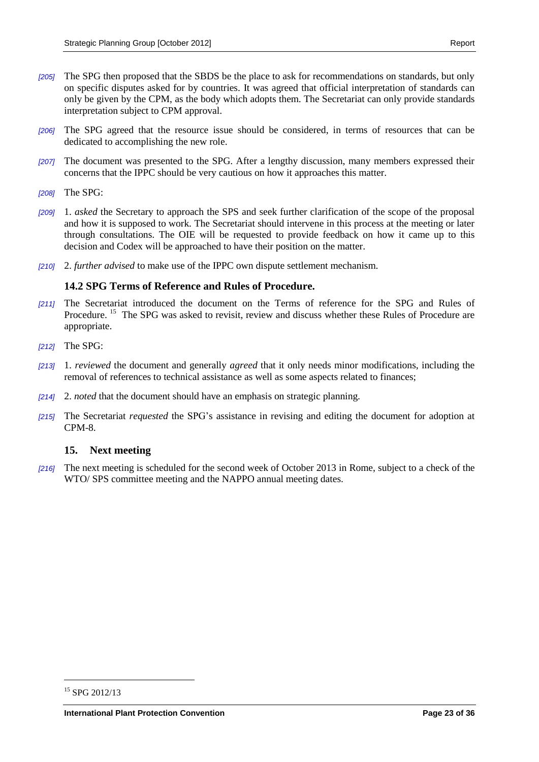- *[205]* The SPG then proposed that the SBDS be the place to ask for recommendations on standards, but only on specific disputes asked for by countries. It was agreed that official interpretation of standards can only be given by the CPM, as the body which adopts them. The Secretariat can only provide standards interpretation subject to CPM approval.
- *[206]* The SPG agreed that the resource issue should be considered, in terms of resources that can be dedicated to accomplishing the new role.
- *[207]* The document was presented to the SPG. After a lengthy discussion, many members expressed their concerns that the IPPC should be very cautious on how it approaches this matter.
- *[208]* The SPG:
- *[209]* 1. *asked* the Secretary to approach the SPS and seek further clarification of the scope of the proposal and how it is supposed to work. The Secretariat should intervene in this process at the meeting or later through consultations. The OIE will be requested to provide feedback on how it came up to this decision and Codex will be approached to have their position on the matter.
- *[210]* 2. *further advised* to make use of the IPPC own dispute settlement mechanism.

#### <span id="page-22-0"></span>**14.2 SPG Terms of Reference and Rules of Procedure.**

- *[211]* The Secretariat introduced the document on the Terms of reference for the SPG and Rules of Procedure.<sup>15</sup> The SPG was asked to revisit, review and discuss whether these Rules of Procedure are appropriate.
- *[212]* The SPG:
- *[213]* 1. *reviewed* the document and generally *agreed* that it only needs minor modifications, including the removal of references to technical assistance as well as some aspects related to finances;
- *[214]* 2. *noted* that the document should have an emphasis on strategic planning.
- *[215]* The Secretariat *requested* the SPG's assistance in revising and editing the document for adoption at CPM-8.

#### <span id="page-22-1"></span>**15. Next meeting**

*[216]* The next meeting is scheduled for the second week of October 2013 in Rome, subject to a check of the WTO/ SPS committee meeting and the NAPPO annual meeting dates.

<sup>&</sup>lt;sup>15</sup> SPG 2012/13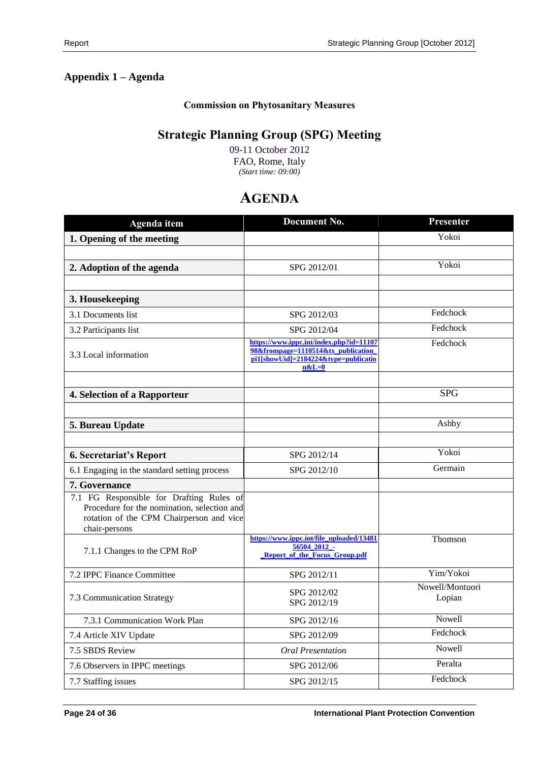# <span id="page-23-0"></span>**Appendix 1 – Agenda**

#### **Commission on Phytosanitary Measures**

# **Strategic Planning Group (SPG) Meeting**

09-11 October 2012 FAO, Rome, Italy *(Start time: 09:00)*

# **AGENDA**

| Agenda item                                                                                                                                          | <b>Document No.</b>                                                                                                              | <b>Presenter</b>          |
|------------------------------------------------------------------------------------------------------------------------------------------------------|----------------------------------------------------------------------------------------------------------------------------------|---------------------------|
| 1. Opening of the meeting                                                                                                                            |                                                                                                                                  | Yokoi                     |
|                                                                                                                                                      |                                                                                                                                  |                           |
| 2. Adoption of the agenda                                                                                                                            | SPG 2012/01                                                                                                                      | Yokoi                     |
|                                                                                                                                                      |                                                                                                                                  |                           |
| 3. Housekeeping                                                                                                                                      |                                                                                                                                  |                           |
| 3.1 Documents list                                                                                                                                   | SPG 2012/03                                                                                                                      | Fedchock                  |
| 3.2 Participants list                                                                                                                                | SPG 2012/04                                                                                                                      | Fedchock                  |
| 3.3 Local information                                                                                                                                | https://www.ippc.int/index.php?id=11107<br>98&frompage=1110514&tx_publication<br>pi1[showUid]=2184224&type=publicatio<br>$n&L=0$ | Fedchock                  |
|                                                                                                                                                      |                                                                                                                                  |                           |
| 4. Selection of a Rapporteur                                                                                                                         |                                                                                                                                  | <b>SPG</b>                |
|                                                                                                                                                      |                                                                                                                                  |                           |
| 5. Bureau Update                                                                                                                                     |                                                                                                                                  | Ashby                     |
|                                                                                                                                                      |                                                                                                                                  |                           |
| <b>6. Secretariat's Report</b>                                                                                                                       | SPG 2012/14                                                                                                                      | Yokoi                     |
| 6.1 Engaging in the standard setting process                                                                                                         | SPG 2012/10                                                                                                                      | Germain                   |
| 7. Governance                                                                                                                                        |                                                                                                                                  |                           |
| 7.1 FG Responsible for Drafting Rules of<br>Procedure for the nomination, selection and<br>rotation of the CPM Chairperson and vice<br>chair-persons |                                                                                                                                  |                           |
| 7.1.1 Changes to the CPM RoP                                                                                                                         | https://www.ippc.int/file_uploaded/13481<br>56504_2012_-<br><b>Report of the Focus Group.pdf</b>                                 | Thomson                   |
| 7.2 IPPC Finance Committee                                                                                                                           | SPG 2012/11                                                                                                                      | Yim/Yokoi                 |
| 7.3 Communication Strategy                                                                                                                           | SPG 2012/02<br>SPG 2012/19                                                                                                       | Nowell/Montuori<br>Lopian |
| 7.3.1 Communication Work Plan                                                                                                                        | SPG 2012/16                                                                                                                      | Nowell                    |
| 7.4 Article XIV Update                                                                                                                               | SPG 2012/09                                                                                                                      | Fedchock                  |
| 7.5 SBDS Review                                                                                                                                      | <b>Oral Presentation</b>                                                                                                         | Nowell                    |
| 7.6 Observers in IPPC meetings                                                                                                                       | SPG 2012/06                                                                                                                      | Peralta                   |
| 7.7 Staffing issues                                                                                                                                  | SPG 2012/15                                                                                                                      | Fedchock                  |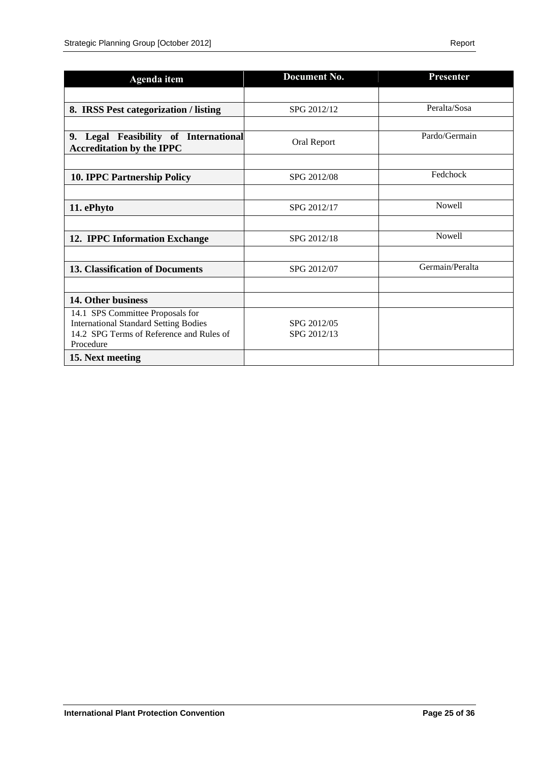| <b>Agenda</b> item                           | Document No. | <b>Presenter</b> |
|----------------------------------------------|--------------|------------------|
|                                              |              |                  |
| 8. IRSS Pest categorization / listing        | SPG 2012/12  | Peralta/Sosa     |
|                                              |              |                  |
| 9. Legal Feasibility of International        | Oral Report  | Pardo/Germain    |
| <b>Accreditation by the IPPC</b>             |              |                  |
|                                              |              |                  |
| <b>10. IPPC Partnership Policy</b>           | SPG 2012/08  | Fedchock         |
|                                              |              |                  |
| 11. ePhyto                                   | SPG 2012/17  | Nowell           |
|                                              |              |                  |
| 12. IPPC Information Exchange                | SPG 2012/18  | <b>Nowell</b>    |
|                                              |              |                  |
| <b>13. Classification of Documents</b>       | SPG 2012/07  | Germain/Peralta  |
|                                              |              |                  |
| 14. Other business                           |              |                  |
| 14.1 SPS Committee Proposals for             |              |                  |
| <b>International Standard Setting Bodies</b> | SPG 2012/05  |                  |
| 14.2 SPG Terms of Reference and Rules of     | SPG 2012/13  |                  |
| Procedure                                    |              |                  |
| 15. Next meeting                             |              |                  |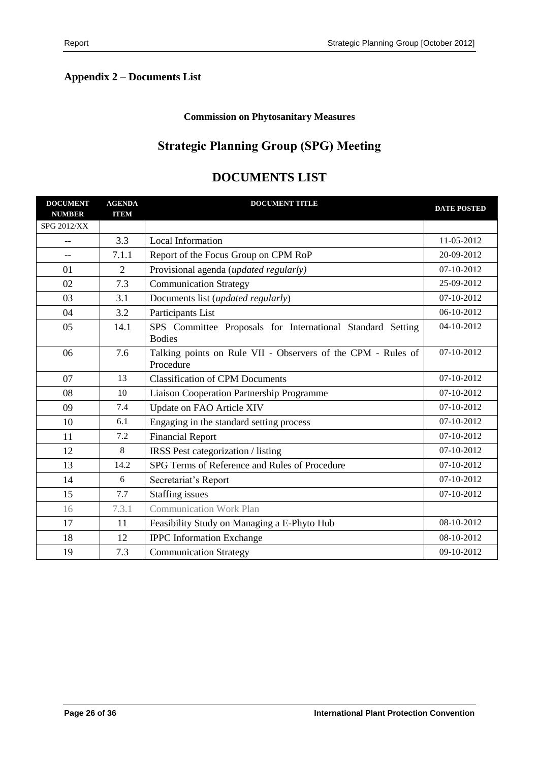# <span id="page-25-0"></span>**Appendix 2 – Documents List**

#### **Commission on Phytosanitary Measures**

# **Strategic Planning Group (SPG) Meeting**

| <b>DOCUMENT</b><br><b>NUMBER</b> | <b>AGENDA</b><br><b>ITEM</b> | <b>DOCUMENT TITLE</b>                                                       | <b>DATE POSTED</b> |
|----------------------------------|------------------------------|-----------------------------------------------------------------------------|--------------------|
| <b>SPG 2012/XX</b>               |                              |                                                                             |                    |
| $-$                              | 3.3                          | Local Information                                                           | 11-05-2012         |
| --                               | 7.1.1                        | Report of the Focus Group on CPM RoP                                        | 20-09-2012         |
| 01                               | 2                            | Provisional agenda (updated regularly)                                      | 07-10-2012         |
| 02                               | 7.3                          | <b>Communication Strategy</b>                                               | 25-09-2012         |
| 03                               | 3.1                          | Documents list ( <i>updated regularly</i> )                                 | 07-10-2012         |
| 04                               | 3.2                          | Participants List                                                           | 06-10-2012         |
| 05                               | 14.1                         | SPS Committee Proposals for International Standard Setting<br><b>Bodies</b> | 04-10-2012         |
| 06                               | 7.6                          | Talking points on Rule VII - Observers of the CPM - Rules of<br>Procedure   | 07-10-2012         |
| 07                               | 13                           | <b>Classification of CPM Documents</b>                                      | 07-10-2012         |
| 08                               | 10                           | Liaison Cooperation Partnership Programme                                   | 07-10-2012         |
| 09                               | 7.4                          | Update on FAO Article XIV                                                   | 07-10-2012         |
| 10                               | 6.1                          | Engaging in the standard setting process                                    | 07-10-2012         |
| 11                               | 7.2                          | <b>Financial Report</b>                                                     | 07-10-2012         |
| 12                               | 8                            | IRSS Pest categorization / listing                                          | 07-10-2012         |
| 13                               | 14.2                         | SPG Terms of Reference and Rules of Procedure                               | 07-10-2012         |
| 14                               | 6                            | Secretariat's Report                                                        | 07-10-2012         |
| 15                               | 7.7                          | <b>Staffing issues</b>                                                      | 07-10-2012         |
| 16                               | 7.3.1                        | <b>Communication Work Plan</b>                                              |                    |
| 17                               | 11                           | Feasibility Study on Managing a E-Phyto Hub                                 | 08-10-2012         |
| 18                               | 12                           | <b>IPPC</b> Information Exchange                                            | 08-10-2012         |
| 19                               | 7.3                          | <b>Communication Strategy</b>                                               | 09-10-2012         |

# **DOCUMENTS LIST**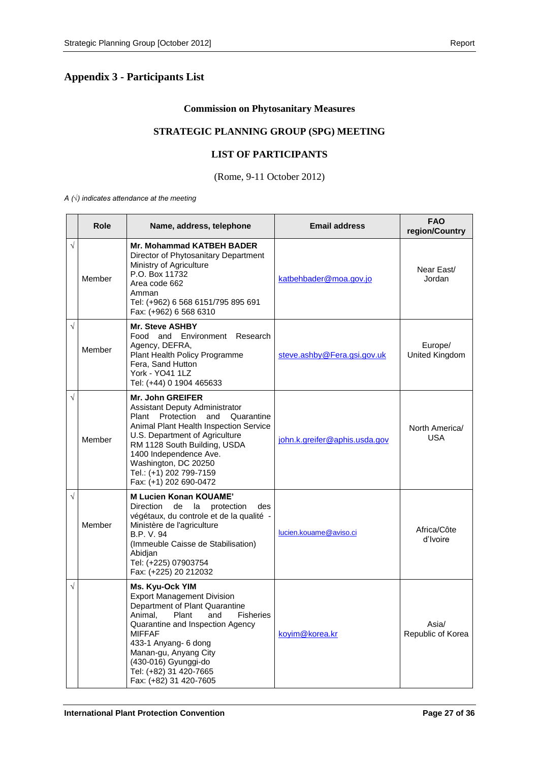# <span id="page-26-0"></span>**Appendix 3 - Participants List**

#### **Commission on Phytosanitary Measures**

#### **STRATEGIC PLANNING GROUP (SPG) MEETING**

#### **LIST OF PARTICIPANTS**

#### (Rome, 9-11 October 2012)

*A (√) indicates attendance at the meeting*

|           | Role   | Name, address, telephone                                                                                                                                                                                                                                                                                                | <b>Email address</b>          | <b>FAO</b><br>region/Country |
|-----------|--------|-------------------------------------------------------------------------------------------------------------------------------------------------------------------------------------------------------------------------------------------------------------------------------------------------------------------------|-------------------------------|------------------------------|
| $\sqrt{}$ | Member | <b>Mr. Mohammad KATBEH BADER</b><br>Director of Phytosanitary Department<br>Ministry of Agriculture<br>P.O. Box 11732<br>Area code 662<br>Amman<br>Tel: (+962) 6 568 6151/795 895 691<br>Fax: (+962) 6 568 6310                                                                                                         | katbehbader@moa.gov.jo        | Near East/<br>Jordan         |
| $\sqrt{}$ | Member | <b>Mr. Steve ASHBY</b><br>Food and Environment Research<br>Agency, DEFRA,<br>Plant Health Policy Programme<br>Fera, Sand Hutton<br><b>York - YO41 1LZ</b><br>Tel: (+44) 0 1904 465633                                                                                                                                   | steve.ashby@Fera.gsi.gov.uk   | Europe/<br>United Kingdom    |
| $\sqrt{}$ | Member | <b>Mr. John GREIFER</b><br>Assistant Deputy Administrator<br>Plant Protection<br>and<br>Quarantine<br>Animal Plant Health Inspection Service<br>U.S. Department of Agriculture<br>RM 1128 South Building, USDA<br>1400 Independence Ave.<br>Washington, DC 20250<br>Tel.: (+1) 202 799-7159<br>Fax: (+1) 202 690-0472   | john.k.greifer@aphis.usda.gov | North America/<br><b>USA</b> |
| $\sqrt{}$ | Member | <b>M Lucien Konan KOUAME'</b><br>Direction<br>de<br>la<br>protection<br>des<br>végétaux, du controle et de la qualité -<br>Ministère de l'agriculture<br>B.P. V. 94<br>(Immeuble Caisse de Stabilisation)<br>Abidjan<br>Tel: (+225) 07903754<br>Fax: (+225) 20 212032                                                   | lucien.kouame@aviso.ci        | Africa/Côte<br>d'Ivoire      |
| $\sqrt{}$ |        | Ms. Kyu-Ock YIM<br><b>Export Management Division</b><br>Department of Plant Quarantine<br>Animal,<br>Plant<br><b>Fisheries</b><br>and<br>Quarantine and Inspection Agency<br><b>MIFFAF</b><br>433-1 Anyang- 6 dong<br>Manan-gu, Anyang City<br>(430-016) Gyunggi-do<br>Tel: (+82) 31 420-7665<br>Fax: (+82) 31 420-7605 | koyim@korea.kr                | Asia/<br>Republic of Korea   |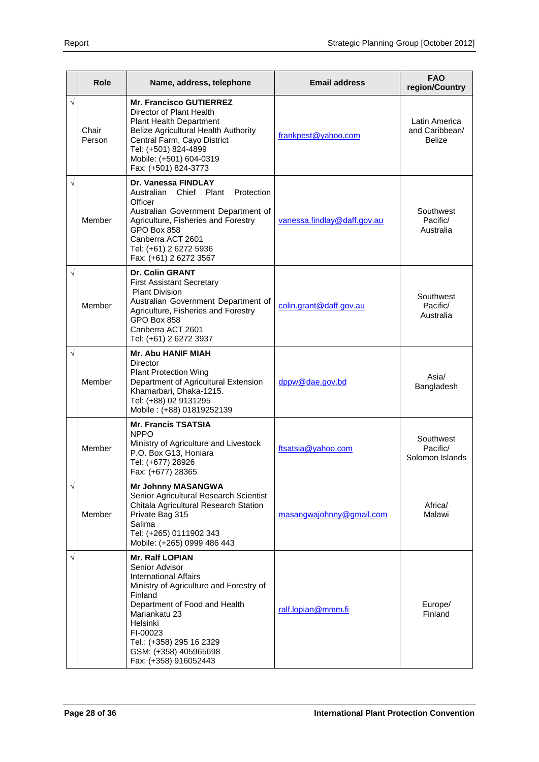|           | <b>Role</b>     | Name, address, telephone                                                                                                                                                                                                                                                               | <b>Email address</b>        | <b>FAO</b><br>region/Country              |
|-----------|-----------------|----------------------------------------------------------------------------------------------------------------------------------------------------------------------------------------------------------------------------------------------------------------------------------------|-----------------------------|-------------------------------------------|
| $\sqrt{}$ | Chair<br>Person | <b>Mr. Francisco GUTIERREZ</b><br>Director of Plant Health<br><b>Plant Health Department</b><br>Belize Agricultural Health Authority<br>Central Farm, Cayo District<br>Tel: (+501) 824-4899<br>Mobile: (+501) 604-0319<br>Fax: (+501) 824-3773                                         | frankpest@yahoo.com         | Latin America<br>and Caribbean/<br>Belize |
| $\sqrt{}$ | Member          | Dr. Vanessa FINDLAY<br>Australian<br>Chief Plant<br>Protection<br>Officer<br>Australian Government Department of<br>Agriculture, Fisheries and Forestry<br>GPO Box 858<br>Canberra ACT 2601<br>Tel: (+61) 2 6272 5936<br>Fax: (+61) 2 6272 3567                                        | vanessa.findlay@daff.gov.au | Southwest<br>Pacific/<br>Australia        |
| $\sqrt{}$ | Member          | <b>Dr. Colin GRANT</b><br><b>First Assistant Secretary</b><br><b>Plant Division</b><br>Australian Government Department of<br>Agriculture, Fisheries and Forestry<br>GPO Box 858<br>Canberra ACT 2601<br>Tel: (+61) 2 6272 3937                                                        | colin.grant@daff.gov.au     | Southwest<br>Pacific/<br>Australia        |
| $\sqrt{}$ | Member          | <b>Mr. Abu HANIF MIAH</b><br>Director<br><b>Plant Protection Wing</b><br>Department of Agricultural Extension<br>Khamarbari, Dhaka-1215.<br>Tel: (+88) 02 9131295<br>Mobile: (+88) 01819252139                                                                                         | dppw@dae.gov.bd             | Asia/<br>Bangladesh                       |
|           | Member          | <b>Mr. Francis TSATSIA</b><br><b>NPPO</b><br>Ministry of Agriculture and Livestock<br>P.O. Box G13, Honiara<br>Tel: (+677) 28926<br>Fax: (+677) 28365                                                                                                                                  | ftsatsia@yahoo.com          | Southwest<br>Pacific/<br>Solomon Islands  |
| $\sqrt{}$ | Member          | <b>Mr Johnny MASANGWA</b><br>Senior Agricultural Research Scientist<br>Chitala Agricultural Research Station<br>Private Bag 315<br>Salima<br>Tel: (+265) 0111902 343<br>Mobile: (+265) 0999 486 443                                                                                    | masangwajohnny@gmail.com    | Africa/<br>Malawi                         |
| $\sqrt{}$ |                 | <b>Mr. Ralf LOPIAN</b><br>Senior Advisor<br><b>International Affairs</b><br>Ministry of Agriculture and Forestry of<br>Finland<br>Department of Food and Health<br>Mariankatu 23<br>Helsinki<br>FI-00023<br>Tel.: (+358) 295 16 2329<br>GSM: (+358) 405965698<br>Fax: (+358) 916052443 | ralf.lopian@mmm.fi          | Europe/<br>Finland                        |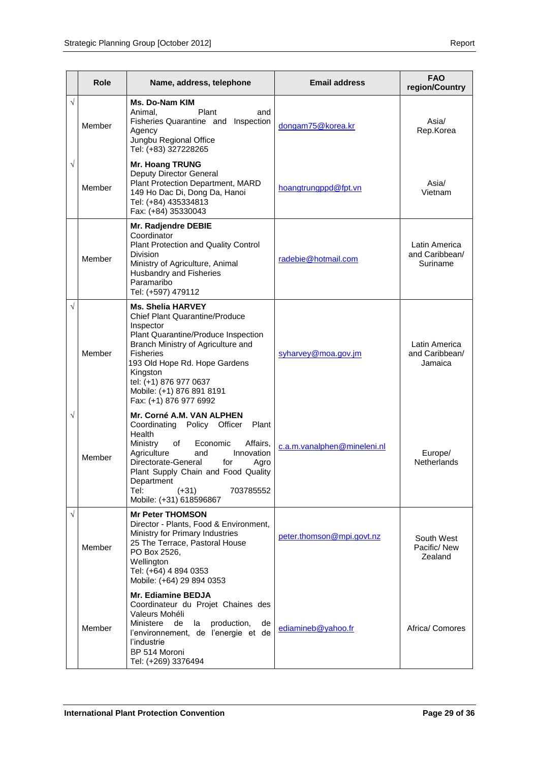|           | Role   | Name, address, telephone                                                                                                                                                                                                                                                                                        | <b>Email address</b>        | <b>FAO</b><br>region/Country                |
|-----------|--------|-----------------------------------------------------------------------------------------------------------------------------------------------------------------------------------------------------------------------------------------------------------------------------------------------------------------|-----------------------------|---------------------------------------------|
| $\sqrt{}$ | Member | Ms. Do-Nam KIM<br>Animal,<br>Plant<br>and<br>Fisheries Quarantine and Inspection<br>Agency<br>Jungbu Regional Office<br>Tel: (+83) 327228265                                                                                                                                                                    | dongam75@korea.kr           | Asia/<br>Rep.Korea                          |
| $\sqrt{}$ | Member | Mr. Hoang TRUNG<br>Deputy Director General<br>Plant Protection Department, MARD<br>149 Ho Dac Di, Dong Da, Hanoi<br>Tel: (+84) 435334813<br>Fax: (+84) 35330043                                                                                                                                                 | hoangtrungppd@fpt.vn        | Asia/<br>Vietnam                            |
|           | Member | Mr. Radjendre DEBIE<br>Coordinator<br>Plant Protection and Quality Control<br>Division<br>Ministry of Agriculture, Animal<br>Husbandry and Fisheries<br>Paramaribo<br>Tel: (+597) 479112                                                                                                                        | radebie@hotmail.com         | Latin America<br>and Caribbean/<br>Suriname |
| $\sqrt{}$ | Member | <b>Ms. Shelia HARVEY</b><br><b>Chief Plant Quarantine/Produce</b><br>Inspector<br>Plant Quarantine/Produce Inspection<br>Branch Ministry of Agriculture and<br><b>Fisheries</b><br>193 Old Hope Rd. Hope Gardens<br>Kingston<br>tel: (+1) 876 977 0637<br>Mobile: (+1) 876 891 8191<br>Fax: (+1) 876 977 6992   | syharvey@moa.gov.jm         | Latin America<br>and Caribbean/<br>Jamaica  |
| $\sqrt{}$ | Member | Mr. Corné A.M. VAN ALPHEN<br>Coordinating Policy Officer<br>Plant<br>Health<br>Affairs,<br>Ministry<br>of<br>Economic<br>Agriculture<br>Innovation<br>and<br>Directorate-General<br>for<br>Agro<br>Plant Supply Chain and Food Quality<br>Department<br>Tel:<br>703785552<br>$(+31)$<br>Mobile: (+31) 618596867 | c.a.m.vanalphen@mineleni.nl | Europe/<br>Netherlands                      |
| $\sqrt{}$ | Member | <b>Mr Peter THOMSON</b><br>Director - Plants, Food & Environment,<br>Ministry for Primary Industries<br>25 The Terrace, Pastoral House<br>PO Box 2526,<br>Wellington<br>Tel: (+64) 4 894 0353<br>Mobile: (+64) 29 894 0353                                                                                      | peter.thomson@mpi.govt.nz   | South West<br>Pacific/New<br>Zealand        |
|           | Member | Mr. Ediamine BEDJA<br>Coordinateur du Projet Chaines des<br>Valeurs Mohéli<br>Ministere<br>de<br>production,<br>la<br>de<br>l'environnement, de l'energie et de<br>l'industrie<br>BP 514 Moroni<br>Tel: (+269) 3376494                                                                                          | ediamineb@yahoo.fr          | Africa/ Comores                             |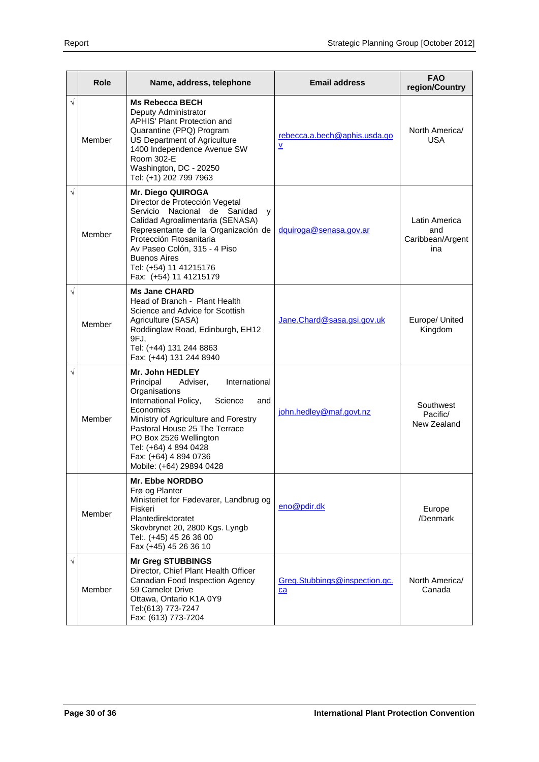|           | Role   | Name, address, telephone                                                                                                                                                                                                                                                                                            | <b>Email address</b>                | <b>FAO</b><br>region/Country                    |
|-----------|--------|---------------------------------------------------------------------------------------------------------------------------------------------------------------------------------------------------------------------------------------------------------------------------------------------------------------------|-------------------------------------|-------------------------------------------------|
| $\sqrt{}$ | Member | <b>Ms Rebecca BECH</b><br>Deputy Administrator<br><b>APHIS' Plant Protection and</b><br>Quarantine (PPQ) Program<br>US Department of Agriculture<br>1400 Independence Avenue SW<br>Room 302-E<br>Washington, DC - 20250<br>Tel: (+1) 202 799 7963                                                                   | rebecca.a.bech@aphis.usda.go<br>Ÿ   | North America/<br><b>USA</b>                    |
| $\sqrt{}$ | Member | Mr. Diego QUIROGA<br>Director de Protección Vegetal<br>Nacional de Sanidad<br>Servicio<br>y<br>Calidad Agroalimentaria (SENASA)<br>Representante de la Organización de<br>Protección Fitosanitaria<br>Av Paseo Colón, 315 - 4 Piso<br><b>Buenos Aires</b><br>Tel: (+54) 11 41215176<br>Fax: (+54) 11 41215179       | dquiroga@senasa.gov.ar              | Latin America<br>and<br>Caribbean/Argent<br>ina |
| $\sqrt{}$ | Member | <b>Ms Jane CHARD</b><br>Head of Branch - Plant Health<br>Science and Advice for Scottish<br>Agriculture (SASA)<br>Roddinglaw Road, Edinburgh, EH12<br>9FJ,<br>Tel: (+44) 131 244 8863<br>Fax: (+44) 131 244 8940                                                                                                    | Jane.Chard@sasa.gsi.gov.uk          | Europe/ United<br>Kingdom                       |
| √         | Member | Mr. John HEDLEY<br>International<br>Principal<br>Adviser,<br>Organisations<br>International Policy,<br>Science<br>and<br>Economics<br>Ministry of Agriculture and Forestry<br>Pastoral House 25 The Terrace<br>PO Box 2526 Wellington<br>Tel: (+64) 4 894 0428<br>Fax: (+64) 4 894 0736<br>Mobile: (+64) 29894 0428 | john.hedley@maf.govt.nz             | Southwest<br>Pacific/<br>New Zealand            |
|           | Member | <b>Mr. Ebbe NORDBO</b><br>Frø og Planter<br>Ministeriet for Fødevarer, Landbrug og<br>Fiskeri<br>Plantedirektoratet<br>Skovbrynet 20, 2800 Kgs. Lyngb<br>Tel:. (+45) 45 26 36 00<br>Fax (+45) 45 26 36 10                                                                                                           | eno@pdir.dk                         | Europe<br>/Denmark                              |
| $\sqrt{}$ | Member | <b>Mr Greg STUBBINGS</b><br>Director, Chief Plant Health Officer<br>Canadian Food Inspection Agency<br>59 Camelot Drive<br>Ottawa, Ontario K1A 0Y9<br>Tel:(613) 773-7247<br>Fax: (613) 773-7204                                                                                                                     | Greg.Stubbings@inspection.gc.<br>ca | North America/<br>Canada                        |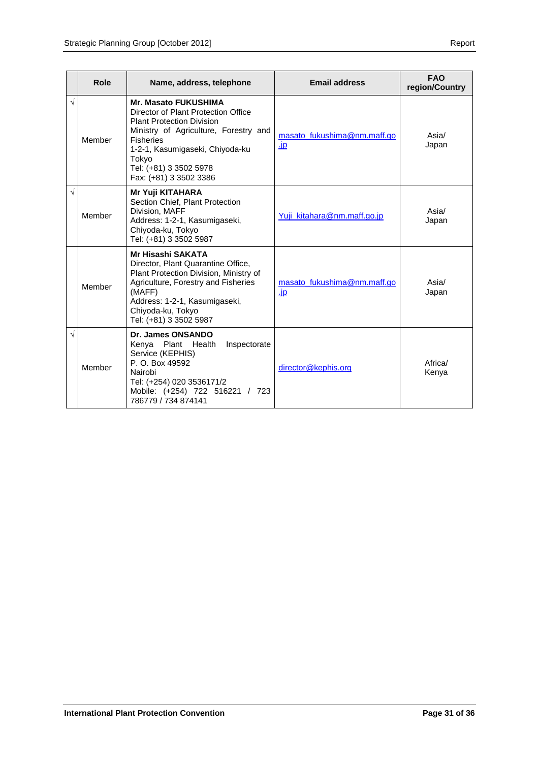|           | Role   | Name, address, telephone                                                                                                                                                                                                                                            | <b>Email address</b>               | <b>FAO</b><br>region/Country |
|-----------|--------|---------------------------------------------------------------------------------------------------------------------------------------------------------------------------------------------------------------------------------------------------------------------|------------------------------------|------------------------------|
| $\sqrt{}$ | Member | <b>Mr. Masato FUKUSHIMA</b><br>Director of Plant Protection Office<br><b>Plant Protection Division</b><br>Ministry of Agriculture, Forestry and<br><b>Fisheries</b><br>1-2-1, Kasumigaseki, Chiyoda-ku<br>Tokyo<br>Tel: (+81) 3 3502 5978<br>Fax: (+81) 3 3502 3386 | masato fukushima@nm.maff.go<br>.jp | Asia/<br>Japan               |
| V         | Member | <b>Mr Yuji KITAHARA</b><br>Section Chief, Plant Protection<br>Division, MAFF<br>Address: 1-2-1, Kasumigaseki,<br>Chiyoda-ku, Tokyo<br>Tel: (+81) 3 3502 5987                                                                                                        | Yuji_kitahara@nm.maff.go.jp        | Asia/<br>Japan               |
|           | Member | <b>Mr Hisashi SAKATA</b><br>Director, Plant Quarantine Office,<br>Plant Protection Division, Ministry of<br>Agriculture, Forestry and Fisheries<br>(MAFF)<br>Address: 1-2-1, Kasumigaseki,<br>Chiyoda-ku, Tokyo<br>Tel: (+81) 3 3502 5987                           | masato fukushima@nm.maff.go<br>.jp | Asia/<br>Japan               |
| V         | Member | Dr. James ONSANDO<br>Kenya Plant Health<br>Inspectorate<br>Service (KEPHIS)<br>P. O. Box 49592<br>Nairobi<br>Tel: (+254) 020 3536171/2<br>Mobile: (+254) 722 516221 / 723<br>786779 / 734 874141                                                                    | director@kephis.org                | Africa/<br>Kenya             |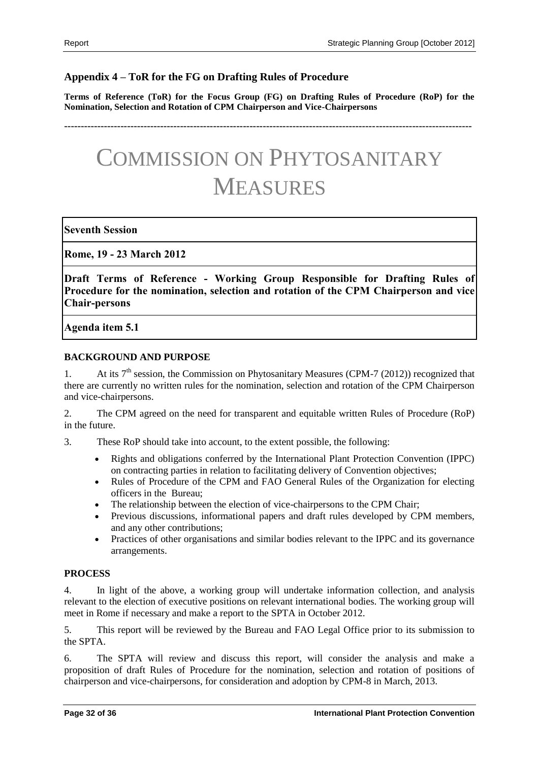### <span id="page-31-0"></span>**Appendix 4 – ToR for the FG on Drafting Rules of Procedure**

**Terms of Reference (ToR) for the Focus Group (FG) on Drafting Rules of Procedure (RoP) for the Nomination, Selection and Rotation of CPM Chairperson and Vice-Chairpersons**

**---------------------------------------------------------------------------------------------------------------------------**

# COMMISSION ON PHYTOSANITARY MEASURES

#### **Seventh Session**

**Rome, 19 - 23 March 2012**

**Draft Terms of Reference - Working Group Responsible for Drafting Rules of Procedure for the nomination, selection and rotation of the CPM Chairperson and vice Chair-persons**

**Agenda item 5.1**

#### **BACKGROUND AND PURPOSE**

1. At its  $7<sup>th</sup>$  session, the Commission on Phytosanitary Measures (CPM-7 (2012)) recognized that there are currently no written rules for the nomination, selection and rotation of the CPM Chairperson and vice-chairpersons.

2. The CPM agreed on the need for transparent and equitable written Rules of Procedure (RoP) in the future.

3. These RoP should take into account, to the extent possible, the following:

- Rights and obligations conferred by the International Plant Protection Convention (IPPC) on contracting parties in relation to facilitating delivery of Convention objectives;
- Rules of Procedure of the CPM and FAO General Rules of the Organization for electing officers in the Bureau;
- The relationship between the election of vice-chairpersons to the CPM Chair;
- Previous discussions, informational papers and draft rules developed by CPM members, and any other contributions;
- Practices of other organisations and similar bodies relevant to the IPPC and its governance arrangements.

#### **PROCESS**

4. In light of the above, a working group will undertake information collection, and analysis relevant to the election of executive positions on relevant international bodies. The working group will meet in Rome if necessary and make a report to the SPTA in October 2012.

5. This report will be reviewed by the Bureau and FAO Legal Office prior to its submission to the SPTA.

6. The SPTA will review and discuss this report, will consider the analysis and make a proposition of draft Rules of Procedure for the nomination, selection and rotation of positions of chairperson and vice-chairpersons, for consideration and adoption by CPM-8 in March, 2013.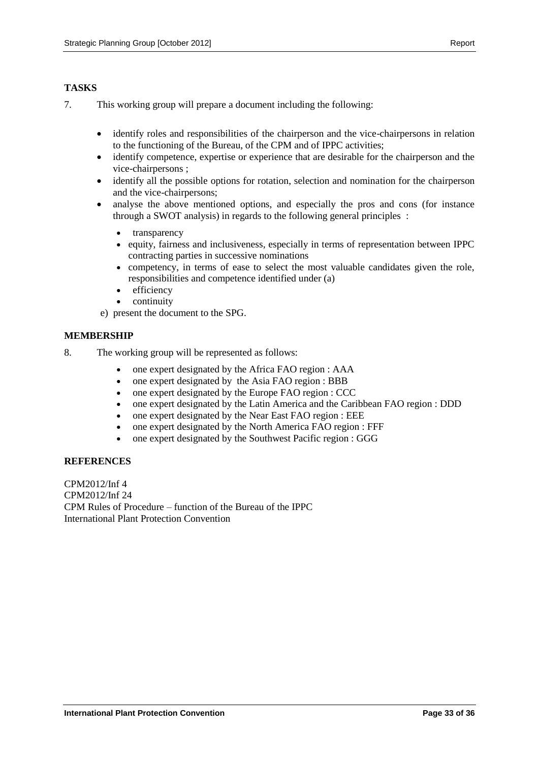#### **TASKS**

- 7. This working group will prepare a document including the following:
	- identify roles and responsibilities of the chairperson and the vice-chairpersons in relation to the functioning of the Bureau, of the CPM and of IPPC activities;
	- identify competence, expertise or experience that are desirable for the chairperson and the vice-chairpersons ;
	- identify all the possible options for rotation, selection and nomination for the chairperson and the vice-chairpersons;
	- analyse the above mentioned options, and especially the pros and cons (for instance through a SWOT analysis) in regards to the following general principles :
		- transparency
		- equity, fairness and inclusiveness, especially in terms of representation between IPPC contracting parties in successive nominations
		- competency, in terms of ease to select the most valuable candidates given the role, responsibilities and competence identified under (a)
		- efficiency
		- continuity
	- e) present the document to the SPG.

#### **MEMBERSHIP**

- 8. The working group will be represented as follows:
	- one expert designated by the Africa FAO region : AAA
	- one expert designated by the Asia FAO region : BBB
	- one expert designated by the Europe FAO region : CCC
	- one expert designated by the Latin America and the Caribbean FAO region : DDD
	- one expert designated by the Near East FAO region : EEE
	- one expert designated by the North America FAO region : FFF
	- one expert designated by the Southwest Pacific region : GGG

#### **REFERENCES**

CPM2012/Inf 4 CPM2012/Inf 24 CPM Rules of Procedure – function of the Bureau of the IPPC International Plant Protection Convention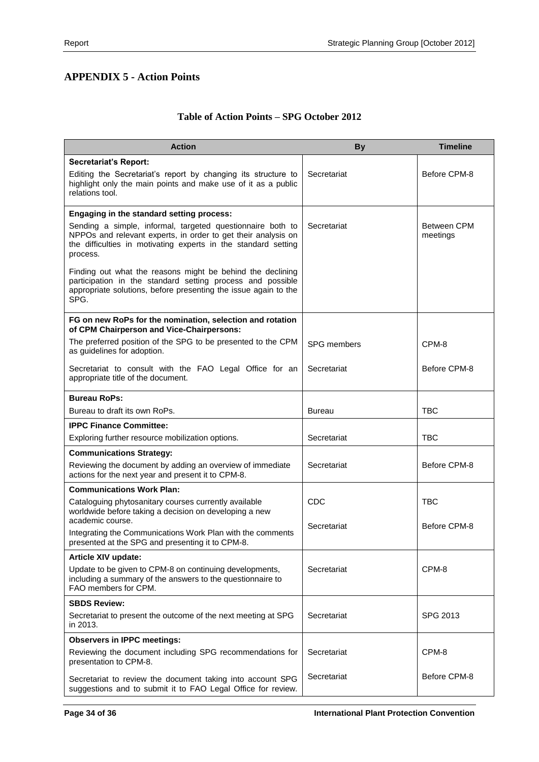# <span id="page-33-0"></span>**APPENDIX 5 - Action Points**

# **Table of Action Points – SPG October 2012**

| <b>Action</b>                                                                                                                                                                                             | <b>By</b>          | <b>Timeline</b>         |
|-----------------------------------------------------------------------------------------------------------------------------------------------------------------------------------------------------------|--------------------|-------------------------|
| <b>Secretariat's Report:</b>                                                                                                                                                                              |                    |                         |
| Editing the Secretariat's report by changing its structure to<br>highlight only the main points and make use of it as a public<br>relations tool.                                                         | Secretariat        | Before CPM-8            |
| Engaging in the standard setting process:                                                                                                                                                                 |                    |                         |
| Sending a simple, informal, targeted questionnaire both to<br>NPPOs and relevant experts, in order to get their analysis on<br>the difficulties in motivating experts in the standard setting<br>process. | Secretariat        | Between CPM<br>meetings |
| Finding out what the reasons might be behind the declining<br>participation in the standard setting process and possible<br>appropriate solutions, before presenting the issue again to the<br>SPG.       |                    |                         |
| FG on new RoPs for the nomination, selection and rotation<br>of CPM Chairperson and Vice-Chairpersons:                                                                                                    |                    |                         |
| The preferred position of the SPG to be presented to the CPM<br>as guidelines for adoption.                                                                                                               | <b>SPG</b> members | CPM-8                   |
| Secretariat to consult with the FAO Legal Office for an<br>appropriate title of the document.                                                                                                             | Secretariat        | Before CPM-8            |
| <b>Bureau RoPs:</b>                                                                                                                                                                                       |                    |                         |
| Bureau to draft its own RoPs.                                                                                                                                                                             | <b>Bureau</b>      | <b>TBC</b>              |
| <b>IPPC Finance Committee:</b>                                                                                                                                                                            |                    |                         |
| Exploring further resource mobilization options.                                                                                                                                                          | Secretariat        | <b>TBC</b>              |
| <b>Communications Strategy:</b>                                                                                                                                                                           |                    |                         |
| Reviewing the document by adding an overview of immediate<br>actions for the next year and present it to CPM-8.                                                                                           | Secretariat        | Before CPM-8            |
| <b>Communications Work Plan:</b>                                                                                                                                                                          |                    |                         |
| Cataloguing phytosanitary courses currently available<br>worldwide before taking a decision on developing a new                                                                                           | <b>CDC</b>         | <b>TBC</b>              |
| academic course.<br>Integrating the Communications Work Plan with the comments<br>presented at the SPG and presenting it to CPM-8.                                                                        | Secretariat        | Before CPM-8            |
| Article XIV update:                                                                                                                                                                                       |                    |                         |
| Update to be given to CPM-8 on continuing developments,<br>including a summary of the answers to the questionnaire to<br>FAO members for CPM.                                                             | Secretariat        | CPM-8                   |
| <b>SBDS Review:</b>                                                                                                                                                                                       |                    |                         |
| Secretariat to present the outcome of the next meeting at SPG<br>in 2013.                                                                                                                                 | Secretariat        | SPG 2013                |
| <b>Observers in IPPC meetings:</b>                                                                                                                                                                        |                    |                         |
| Reviewing the document including SPG recommendations for<br>presentation to CPM-8.                                                                                                                        | Secretariat        | CPM-8                   |
| Secretariat to review the document taking into account SPG<br>suggestions and to submit it to FAO Legal Office for review.                                                                                | Secretariat        | Before CPM-8            |